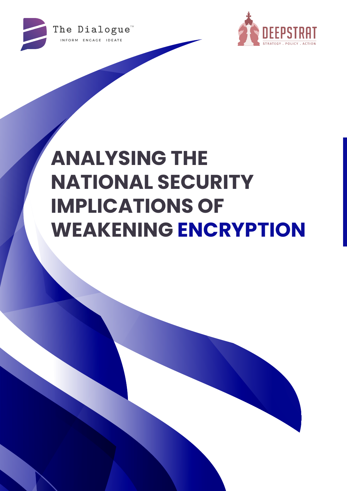



# **ANALYSING THE NATIONAL SECURITY IMPLICATIONS OF WEAKENING ENCRYPTION**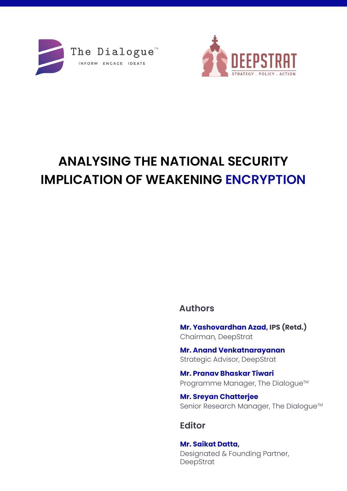



## **ANALYSING THE NATIONAL SECURITY IMPLICATION OF WEAKENING ENCRYPTION**

## **Authors**

**Mr. Yashovardhan Azad, IPS (Retd.)**  Chairman, DeepStrat

**Mr. Anand Venkatnarayanan** Strategic Advisor, DeepStrat

**Mr. Pranav Bhaskar Tiwari** Programme Manager, The Dialogue™

**Mr. Sreyan Chatterjee** Senior Research Manager, The Dialogue™

## **Editor**

**Mr. Saikat Datta,**  Designated & Founding Partner, DeepStrat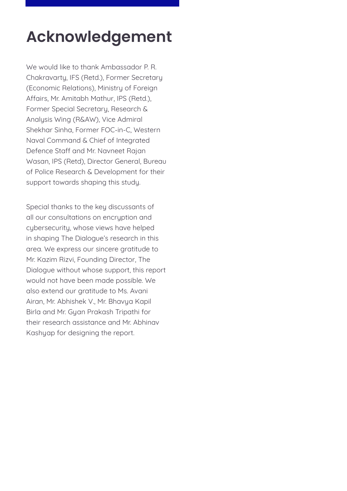## **Acknowledgement**

We would like to thank Ambassador P. R. Chakravarty, IFS (Retd.), Former Secretary (Economic Relations), Ministry of Foreign Affairs, Mr. Amitabh Mathur, IPS (Retd.), Former Special Secretary, Research & Analysis Wing (R&AW), Vice Admiral Shekhar Sinha, Former FOC-in-C, Western Naval Command & Chief of Integrated Defence Staff and Mr. Navneet Rajan Wasan, IPS (Retd), Director General, Bureau of Police Research & Development for their support towards shaping this study.

Special thanks to the key discussants of all our consultations on encryption and cybersecurity, whose views have helped in shaping The Dialogue's research in this area. We express our sincere gratitude to Mr. Kazim Rizvi, Founding Director, The Dialogue without whose support, this report would not have been made possible. We also extend our gratitude to Ms. Avani Airan, Mr. Abhishek V., Mr. Bhavya Kapil Birla and Mr. Gyan Prakash Tripathi for their research assistance and Mr. Abhinav Kashyap for designing the report.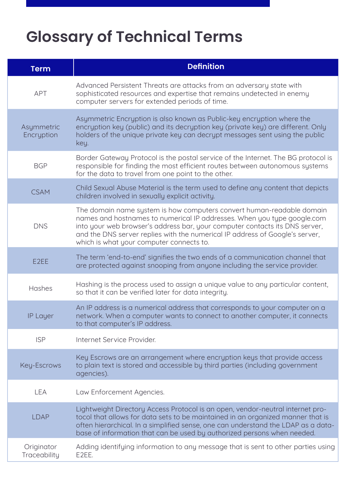## **Glossary of Technical Terms**

| <b>Term</b>                | <b>Definition</b>                                                                                                                                                                                                                                                                                                                                           |
|----------------------------|-------------------------------------------------------------------------------------------------------------------------------------------------------------------------------------------------------------------------------------------------------------------------------------------------------------------------------------------------------------|
| <b>APT</b>                 | Advanced Persistent Threats are attacks from an adversary state with<br>sophisticated resources and expertise that remains undetected in enemy<br>computer servers for extended periods of time.                                                                                                                                                            |
| Asymmetric<br>Encryption   | Asymmetric Encryption is also known as Public-key encryption where the<br>encryption key (public) and its decryption key (private key) are different. Only<br>holders of the unique private key can decrypt messages sent using the public<br>key.                                                                                                          |
| <b>BGP</b>                 | Border Gateway Protocol is the postal service of the Internet. The BG protocol is<br>responsible for finding the most efficient routes between autonomous systems<br>for the data to travel from one point to the other.                                                                                                                                    |
| <b>CSAM</b>                | Child Sexual Abuse Material is the term used to define any content that depicts<br>children involved in sexually explicit activity.                                                                                                                                                                                                                         |
| <b>DNS</b>                 | The domain name system is how computers convert human-readable domain<br>names and hostnames to numerical IP addresses. When you type google.com<br>into your web browser's address bar, your computer contacts its DNS server,<br>and the DNS server replies with the numerical IP address of Google's server,<br>which is what your computer connects to. |
| E <sub>2</sub> EE          | The term 'end-to-end' signifies the two ends of a communication channel that<br>are protected against snooping from anyone including the service provider.                                                                                                                                                                                                  |
| Hashes                     | Hashing is the process used to assign a unique value to any particular content,<br>so that it can be verified later for data integrity.                                                                                                                                                                                                                     |
| <b>IP Layer</b>            | An IP address is a numerical address that corresponds to your computer on a<br>network. When a computer wants to connect to another computer, it connects<br>to that computer's IP address.                                                                                                                                                                 |
| <b>ISP</b>                 | Internet Service Provider.                                                                                                                                                                                                                                                                                                                                  |
| Key-Escrows                | Key Escrows are an arrangement where encryption keys that provide access<br>to plain text is stored and accessible by third parties (including government<br>agencies).                                                                                                                                                                                     |
| <b>LEA</b>                 | Law Enforcement Agencies.                                                                                                                                                                                                                                                                                                                                   |
| <b>LDAP</b>                | Lightweight Directory Access Protocol is an open, vendor-neutral internet pro-<br>tocol that allows for data sets to be maintained in an organized manner that is<br>often hierarchical. In a simplified sense, one can understand the LDAP as a data-<br>base of information that can be used by authorized persons when needed.                           |
| Originator<br>Traceability | Adding identifying information to any message that is sent to other parties using<br>E2EE.                                                                                                                                                                                                                                                                  |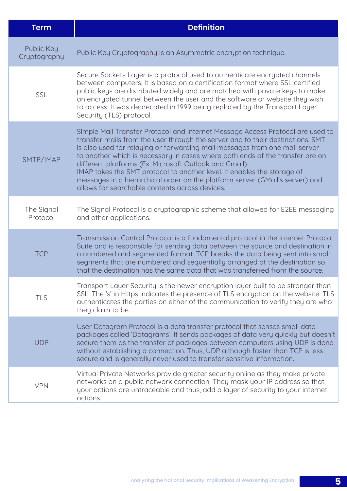| <b>Term</b>                | <b>Definition</b>                                                                                                                                                                                                                                                                                                                                                                                                                                                                                                                                                                                      |
|----------------------------|--------------------------------------------------------------------------------------------------------------------------------------------------------------------------------------------------------------------------------------------------------------------------------------------------------------------------------------------------------------------------------------------------------------------------------------------------------------------------------------------------------------------------------------------------------------------------------------------------------|
| Public Key<br>Cryptography | Public Key Cryptography is an Asymmetric encryption technique.                                                                                                                                                                                                                                                                                                                                                                                                                                                                                                                                         |
| <b>SSL</b>                 | Secure Sockets Layer is a protocol used to authenticate encrypted channels<br>between computers. It is based on a certification format where SSL certified<br>public keys are distributed widely and are matched with private keys to make<br>an encrypted tunnel between the user and the software or website they wish<br>to access. It was deprecated in 1999 being replaced by the Transport Layer<br>Security (TLS) protocol.                                                                                                                                                                     |
| SMTP/IMAP                  | Simple Mail Transfer Protocol and Internet Message Access Protocol are used to<br>transfer mails from the user through the server and to their destinations. SMT<br>is also used for relaying or forwarding mail messages from one mail server<br>to another which is necessary in cases where both ends of the transfer are on<br>different platforms (Ex. Microsoft Outlook and Gmail).<br>IMAP takes the SMT protocol to another level. It enables the storage of<br>messages in a hierarchical order on the platform server (GMail's server) and<br>allows for searchable contents across devices. |
| The Signal<br>Protocol     | The Signal Protocol is a cryptographic scheme that allowed for E2EE messaging<br>and other applications.                                                                                                                                                                                                                                                                                                                                                                                                                                                                                               |
| <b>TCP</b>                 | Transmission Control Protocol is a fundamental protocol in the Internet Protocol<br>Suite and is responsible for sending data between the source and destination in<br>a numbered and segmented format. TCP breaks the data being sent into small<br>segments that are numbered and sequentially arranged at the destination so<br>that the destination has the same data that was transferred from the source.                                                                                                                                                                                        |
| <b>TLS</b>                 | Transport Layer Security is the newer encryption layer built to be stronger than<br>SSL. The 's' in Https indicates the presence of TLS encryption on the website. TLS<br>authenticates the parties on either of the communication to verify they are who<br>they claim to be.                                                                                                                                                                                                                                                                                                                         |
| <b>UDP</b>                 | User Datagram Protocol is a data transfer protocol that senses small data<br>packages called 'Datagrams'. It sends packages of data very quickly but doesn't<br>secure them as the transfer of packages between computers using UDP is done<br>without establishing a connection. Thus, UDP although faster than TCP is less<br>secure and is generally never used to transfer sensitive information.                                                                                                                                                                                                  |
| <b>VPN</b>                 | Virtual Private Networks provide greater security online as they make private<br>networks on a public network connection. They mask your IP address so that<br>your actions are untraceable and thus, add a layer of security to your internet<br>actions.                                                                                                                                                                                                                                                                                                                                             |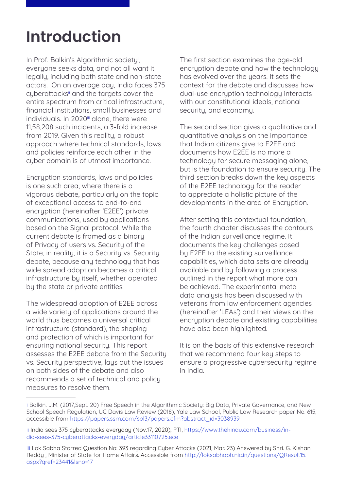## **Introduction**

In Prof. Balkin's Algorithmic societyi, everyone seeks data, and not all want it legally, including both state and non-state actors. On an average day, India faces 375 cyberattacks<sup>ii</sup> and the targets cover the entire spectrum from critical infrastructure, financial institutions, small businesses and individuals. In 2020<sup>iii</sup> alone, there were 11,58,208 such incidents, a 3-fold increase from 2019. Given this reality, a robust approach where technical standards, laws and policies reinforce each other in the cyber domain is of utmost importance.

Encryption standards, laws and policies is one such area, where there is a vigorous debate, particularly on the topic of exceptional access to end-to-end encruption (hereinafter 'E2EE') private communications, used by applications based on the Signal protocol. While the current debate is framed as a binary of Privacy of users vs. Security of the State, in reality, it is a Security vs. Security debate, because any technology that has wide spread adoption becomes a critical infrastructure by itself, whether operated by the state or private entities.

The widespread adoption of E2EE across a wide variety of applications around the world thus becomes a universal critical infrastructure (standard), the shaping and protection of which is important for ensuring national security. This report assesses the E2EE debate from the Security vs. Security perspective, lays out the issues on both sides of the debate and also recommends a set of technical and policy measures to resolve them.

The first section examines the age-old encryption debate and how the technology has evolved over the years. It sets the context for the debate and discusses how dual-use encryption technology interacts with our constitutional ideals, national security, and economy.

The second section gives a qualitative and quantitative analysis on the importance that Indian citizens give to E2EE and documents how E2EE is no more a technology for secure messaging alone, but is the foundation to ensure security. The third section breaks down the key aspects of the E2EE technology for the reader to appreciate a holistic picture of the developments in the area of Encruption.

After setting this contextual foundation, the fourth chapter discusses the contours of the Indian surveillance regime. It documents the key challenges posed by E2EE to the existing surveillance capabilities, which data sets are already available and by following a process outlined in the report what more can be achieved. The experimental meta data analysis has been discussed with veterans from law enforcement agencies (hereinafter 'LEAs') and their views on the encryption debate and existing capabilities have also been highlighted.

It is on the basis of this extensive research that we recommend four key steps to ensure a progressive cybersecurity regime in India.

i Balkin. J.M. (2017,Sept. 20) Free Speech in the Algorithmic Society: Big Data, Private Governance, and New School Speech Regulation, UC Davis Law Review (2018), Yale Law School, Public Law Research paper No. 615, accessible from [https://papers.ssrn.com/sol3/papers.cfm?abstract\\_id=3038939](https://papers.ssrn.com/sol3/papers.cfm?abstract_id=3038939)

ii India sees 375 cyberattacks everyday (Nov.17, 2020), PTI, [https://www.thehindu.com/business/in](https://www.thehindu.com/business/india-sees-375-cyberattacks-everyday/article33110725.ece)[dia-sees-375-cyberattacks-everyday/article33110725.ece](https://www.thehindu.com/business/india-sees-375-cyberattacks-everyday/article33110725.ece)

iii Lok Sabha Starred Question No: 393 regarding Cyber Attacks (2021, Mar. 23) Answered by Shri. G. Kishan Reddy , Minister of State for Home Affairs. Accessible from [http://loksabhaph.nic.in/questions/QResult15.](http://loksabhaph.nic.in/questions/QResult15.aspx?qref=23441&lsno=17) [aspx?qref=23441&lsno=17](http://loksabhaph.nic.in/questions/QResult15.aspx?qref=23441&lsno=17)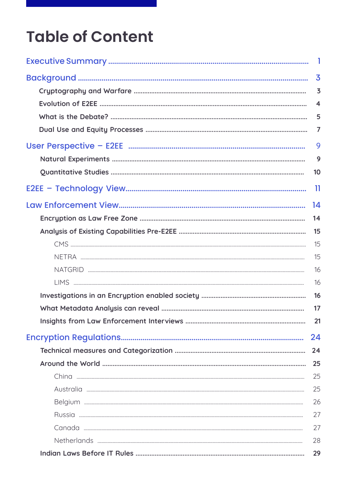## **Table of Content**

| $\overline{\phantom{a}}$ |
|--------------------------|
| $\overline{\mathbf{3}}$  |
| $\overline{\mathbf{3}}$  |
| $\overline{\mathbf{4}}$  |
| 5                        |
| $\overline{7}$           |
| 9                        |
| 9                        |
| 10                       |
| 11                       |
| 14                       |
| 14                       |
| 15                       |
| 15                       |
| 15                       |
| 16                       |
| 16                       |
| 16                       |
| 17                       |
| 21                       |
| 24                       |
| 24                       |
| 25                       |
| 25                       |
| 25                       |
| 26                       |
| 27                       |
| 27                       |
| 28                       |
| 29                       |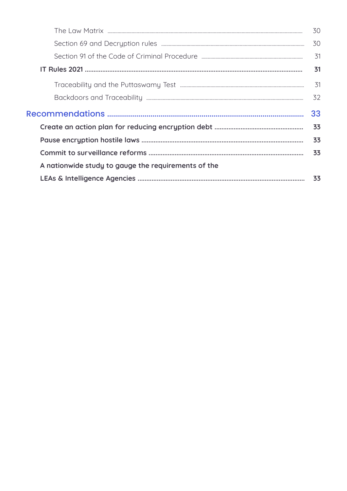|                                                     | 30 |
|-----------------------------------------------------|----|
|                                                     | 30 |
|                                                     | 31 |
|                                                     | 31 |
|                                                     | 31 |
|                                                     | 32 |
|                                                     |    |
|                                                     | 33 |
|                                                     | 33 |
|                                                     | 33 |
|                                                     | 33 |
| A nationwide study to gauge the requirements of the |    |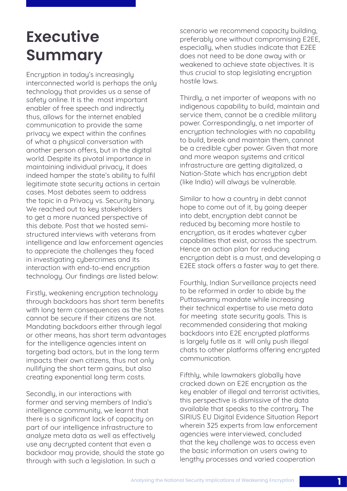## <span id="page-8-0"></span>**Executive Summary**

Encruption in today's increasingly interconnected world is perhaps the only technology that provides us a sense of safety online. It is the most important enabler of free speech and indirectly thus, allows for the internet enabled communication to provide the same privacy we expect within the confines of what a physical conversation with another person offers, but in the digital world. Despite its pivotal importance in maintaining individual privacy, it does indeed hamper the state's ability to fulfil legitimate state security actions in certain cases. Most debates seem to address the topic in a Privacy vs. Security binary. We reached out to key stakeholders to get a more nuanced perspective of this debate. Post that we hosted semistructured interviews with veterans from intelligence and law enforcement agencies to appreciate the challenges they faced in investigating cybercrimes and its interaction with end-to-end encruption technology. Our findings are listed below:

Firstly, weakening encryption technology through backdoors has short term benefits with long term consequences as the States cannot be secure if their citizens are not. Mandating backdoors either through legal or other means, has short term advantages for the intelligence agencies intent on targeting bad actors, but in the long term impacts their own citizens, thus not only nullifying the short term gains, but also creating exponential long term costs.

Secondly, in our interactions with former and serving members of India's intelligence community, we learnt that there is a significant lack of capacity on part of our intelligence infrastructure to analyze meta data as well as effectively use any decrypted content that even a backdoor may provide, should the state go through with such a legislation. In such a

scenario we recommend capacity building, preferably one without compromising E2EE, especially, when studies indicate that E2EE does not need to be done away with or weakened to achieve state objectives. It is thus crucial to stop legislating encryption hostile laws.

Thirdly, a net importer of weapons with no indigenous capability to build, maintain and service them, cannot be a credible military power. Correspondingly, a net importer of encryption technologies with no capability to build, break and maintain them, cannot be a credible cyber power. Given that more and more weapon systems and critical infrastructure are getting digitalized, a Nation-State which has encryption debt (like India) will always be vulnerable.

Similar to how a country in debt cannot hope to come out of it, by going deeper into debt, encruption debt cannot be reduced by becoming more hostile to encryption, as it erodes whatever cyber capabilities that exist, across the spectrum. Hence an action plan for reducing encryption debt is a must, and developing a E2EE stack offers a faster way to get there.

Fourthly, Indian Surveillance projects need to be reformed in order to abide by the Puttaswamy mandate while increasing their technical expertise to use meta data for meeting state security goals. This is recommended considering that making backdoors into E2E encrypted platforms is largely futile as it will only push illegal chats to other platforms offering encrypted communication.

Fifthly, while lawmakers globally have cracked down on E2E encryption as the key enabler of illegal and terrorist activities, this perspective is dismissive of the data available that speaks to the contrary. The SIRIUS EU Digital Evidence Situation Report wherein 325 experts from law enforcement agencies were interviewed, concluded that the key challenge was to access even the basic information on users owing to lengthy processes and varied cooperation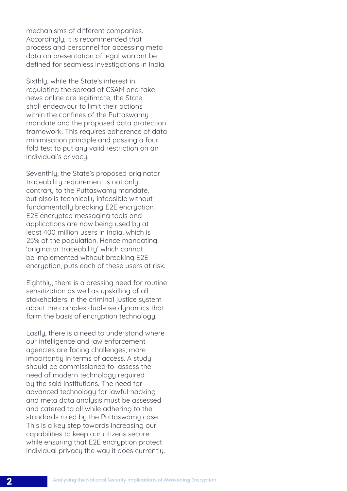mechanisms of different companies. Accordingly, it is recommended that process and personnel for accessing meta data on presentation of legal warrant be defined for seamless investigations in India.

Sixthly, while the State's interest in regulating the spread of CSAM and fake news online are legitimate, the State shall endeavour to limit their actions within the confines of the Puttaswamy mandate and the proposed data protection framework. This requires adherence of data minimisation principle and passing a four fold test to put any valid restriction on an individual's privacy.

Seventhly, the State's proposed originator traceability requirement is not only contrary to the Puttaswamy mandate, but also is technically infeasible without fundamentally breaking E2E encryption. E2E encrupted messaging tools and applications are now being used by at least 400 million users in India, which is 25% of the population. Hence mandating 'originator traceability' which cannot be implemented without breaking E2E encryption, puts each of these users at risk.

Eighthly, there is a pressing need for routine sensitization as well as upskilling of all stakeholders in the criminal justice system about the complex dual-use dynamics that form the basis of encryption technology.

Lastly, there is a need to understand where our intelligence and law enforcement agencies are facing challenges, more importantly in terms of access. A study should be commissioned to assess the need of modern technology required by the said institutions. The need for advanced technology for lawful hacking and meta data analysis must be assessed and catered to all while adhering to the standards ruled by the Puttaswamy case. This is a key step towards increasing our capabilities to keep our citizens secure while ensuring that E2E encryption protect individual privacu the way it does currently.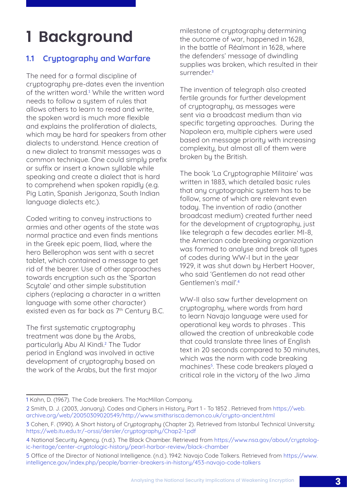## <span id="page-10-0"></span>**1 Background**

## 1.1 Cryptography and Warfare

The need for a formal discipline of cruptography pre-dates even the invention of the written word.<sup>1</sup> While the written word needs to follow a sustem of rules that allows others to learn to read and write, the spoken word is much more flexible and explains the proliferation of dialects, which may be hard for speakers from other dialects to understand. Hence creation of a new dialect to transmit messages was a common technique. One could simply prefix or suffix or insert a known sullable while speaking and create a dialect that is hard to comprehend when spoken rapidly (e.g. Pig Latin, Spanish Jerigonza, South Indian language dialects etc.).

Coded writing to convey instructions to armies and other agents of the state was normal practice and even finds mentions in the Greek epic poem, Iliad, where the hero Bellerophon was sent with a secret tablet, which contained a message to get rid of the bearer. Use of other approaches towards encryption such as the 'Spartan Scutale' and other simple substitution ciphers (replacing a character in a written language with some other character) existed even as far back as 7<sup>th</sup> Century B.C.

The first systematic cryptography treatment was done by the Arabs, particularly Abu Al Kindi.<sup>2</sup> The Tudor period in England was involved in active development of cryptography based on the work of the Arabs, but the first major milestone of cryptography determining the outcome of war, happened in 1628, in the battle of Réalmont in 1628, where the defenders' message of dwindling supplies was broken, which resulted in their surrender.<sup>3</sup>

The invention of telegraph also created fertile grounds for further development of cryptography, as messages were sent via a broadcast medium than via specific targeting approaches. During the Napoleon era, multiple ciphers were used based on message priority with increasing complexity, but almost all of them were broken by the British.

The book 'La Cryptographie Militaire' was written in 1883, which detailed basic rules that any cryptographic system has to be follow, some of which are relevant even today. The invention of radio (another broadcast medium) created further need for the development of cryptography, just like telegraph a few decades earlier. MI-8, the American code breaking organization was formed to analyse and break all types of codes during WW-I but in the year 1929, it was shut down bu Herbert Hoover. who said 'Gentlemen do not read other Gentlemen's mail'.<sup>4</sup>

WW-II also saw further development on cryptography, where words from hard to learn Navajo language were used for operational key words to phrases . This allowed the creation of unbreakable code that could translate three lines of English text in 20 seconds compared to 30 minutes, which was the norm with code breaking machines<sup>5</sup>. These code breakers played a critical role in the victory of the Iwo Jima

<sup>1</sup> Kahn, D. (1967). The Code breakers. The MacMillan Company.

<sup>2</sup> Smith, D. J. (2003, January). Codes and Ciphers in History, Part 1 - To 1852 . Retrieved from [https://web.](https://web.archive.org/web/20050309020549/http://www.smithsrisca.demon.co.uk/crypto-ancient.html) [archive.org/web/20050309020549/http://www.smithsrisca.demon.co.uk/crypto-ancient.html](https://web.archive.org/web/20050309020549/http://www.smithsrisca.demon.co.uk/crypto-ancient.html)

<sup>3</sup> Cohen, F. (1990). A Short history of Cryptography (Chapter 2). Retrieved from Istanbul Technical University: <https://web.itu.edu.tr/~orssi/dersler/cryptography/Chap2-1.pdf>

<sup>4</sup> National Security Agency. (n.d.). The Black Chamber. Retrieved from [https://www.nsa.gov/about/cryptolog](https://www.nsa.gov/about/cryptologic-heritage/center-cryptologic-history/pearl-harbor-review/black-chamber)[ic-heritage/center-cryptologic-history/pearl-harbor-review/black-chamber](https://www.nsa.gov/about/cryptologic-heritage/center-cryptologic-history/pearl-harbor-review/black-chamber)

<sup>5</sup> Office of the Director of National Intelligence. (n.d.). 1942: Navajo Code Talkers. Retrieved from [https://www.](https://www.intelligence.gov/index.php/people/barrier-breakers-in-history/453-navajo-code-talkers) [intelligence.gov/index.php/people/barrier-breakers-in-history/453-navajo-code-talkers](https://www.intelligence.gov/index.php/people/barrier-breakers-in-history/453-navajo-code-talkers)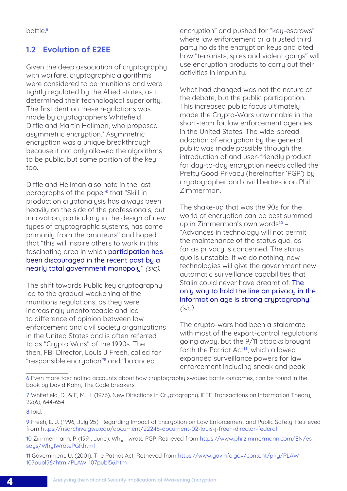## <span id="page-11-0"></span>1.2 Evolution of E2EE

Given the deep association of cryptography with warfare, cryptographic algorithms were considered to be munitions and were tightly regulated by the Allied states, as it determined their technological superiority. The first dent on these regulations was made by cryptographers Whitefield Diffie and Martin Hellman, who proposed asymmetric encryption.<sup>7</sup> Asymmetric encryption was a unique breakthrough because it not only allowed the algorithms to be public, but some portion of the key too.

Diffie and Hellman also note in the last paragraphs of the paper<sup>8</sup> that "Skill in production cryptanalysis has always been heavily on the side of the professionals, but innovation, particularly in the design of new types of cryptographic systems, has come primarily from the amateurs" and hoped that "this will inspire others to work in this fascinating area in which participation has been discouraged in the recent past by a nearly total government monopoly" (sic).

The shift towards Public key cryptography led to the gradual weakening of the munitions regulations, as they were increasingly unenforceable and led to difference of opinion between law enforcement and civil society organizations in the United States and is often referred to as "Crypto Wars" of the 1990s. The then, FBI Director, Louis J Freeh, called for "responsible encryption"<sup>9</sup> and "balanced

encryption" and pushed for "key-escrows" where law enforcement or a trusted third party holds the encryption keys and cited how "terrorists, spies and violent gangs" will use encryption products to carry out their activities in impunity.

What had changed was not the nature of the debate, but the public participation. This increased public focus ultimately made the Crypto-Wars unwinnable in the short-term for law enforcement agencies in the United States. The wide-spread adoption of encryption by the general public was made possible through the introduction of and user-friendly product for day-to-day encruption needs called the Pretty Good Privacy (hereinafter 'PGP') by cryptographer and civil liberties icon Phil Zimmerman.

The shake-up that was the 90s for the world of encryption can be best summed up in Zimmerman's own words<sup>10</sup> -"Advances in technology will not permit the maintenance of the status quo, as far as privacy is concerned. The status quo is unstable. If we do nothing, new technologies will give the government new automatic surveillance capabilities that Stalin could never have dreamt of. The only way to hold the line on privacy in the information age is strong cryptography" (sic).

The crupto-wars had been a stalemate with most of the export-control regulations going away, but the 9/11 attacks brought forth the Patriot Act<sup>11</sup>, which allowed expanded surveillance powers for law enforcement including sneak and peak

11 Government, U. (2001). The Patriot Act. Retrieved from [https://www.govinfo.gov/content/pkg/PLAW-](https://www.govinfo.gov/content/pkg/PLAW-107publ56/html/PLAW-107publ56.htm)[107publ56/html/PLAW-107publ56.htm](https://www.govinfo.gov/content/pkg/PLAW-107publ56/html/PLAW-107publ56.htm)

<sup>6</sup> Even more fascinating accounts about how cryptography swayed battle outcomes, can be found in the book by David Kahn, The Code breakers.

<sup>7</sup> Whitefield, D., & E, M. H. (1976). New Directions in Cryptography. IEEE Transactions on Information Theory, 22(6), 644-654.

<sup>8</sup> Ibid.

<sup>9</sup> Freeh, L. J. (1996, July 25). Regarding Impact of Encryption on Law Enforcement and Public Safety. Retrieved from <https://nsarchive.gwu.edu/document/22248-document-02-louis-j-freeh-director-federal>

<sup>10</sup> Zimmermann, P. (1991, June). Why I wrote PGP. Retrieved from [https://www.philzimmermann.com/EN/es](https://www.philzimmermann.com/EN/essays/WhyIWrotePGP.html)saus/WhuIWrotePGP.html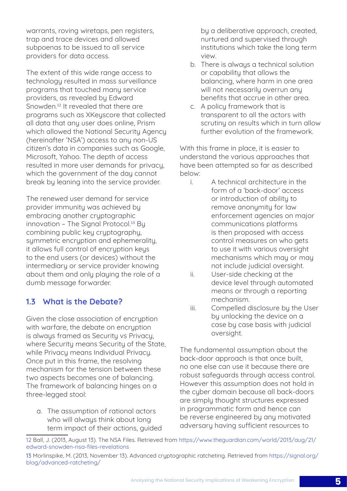<span id="page-12-0"></span>warrants, roving wiretaps, pen registers, trap and trace devices and allowed subpoenas to be issued to all service providers for data access.

The extent of this wide range access to technology resulted in mass surveillance programs that touched many service providers, as revealed by Edward Snowden.<sup>12</sup> It revealed that there are programs such as XKeyscore that collected all data that any user does online, Prism which allowed the National Security Agency (hereinafter 'NSA') access to any non-US citizen's data in companies such as Google, Microsoft, Yahoo. The depth of access resulted in more user demands for privacy, which the government of the day cannot break by leaning into the service provider.

The renewed user demand for service provider immunity was achieved by embracing another cryptographic innovation - The Signal Protocol.<sup>13</sup> By combining public key cryptography, symmetric encryption and ephemerality, it allows full control of encryption keys to the end users (or devices) without the intermediary or service provider knowing about them and only playing the role of a dumb message forwarder.

## 1.3 What is the Debate?

Given the close association of encryption with warfare, the debate on encryption is always framed as Security vs Privacy. where Security means Security of the State, while Privacy means Individual Privacy. Once put in this frame, the resolving mechanism for the tension between these two aspects becomes one of balancing. The framework of balancing hinges on a three-legged stool:

a. The assumption of rational actors who will always think about long term impact of their actions, guided

by a deliberative approach, created, nurtured and supervised through institutions which take the long term view.

- b. There is always a technical solution or capability that allows the balancing, where harm in one area will not necessarily overrun any benefits that accrue in other area.
- c. A policy framework that is transparent to all the actors with scrutiny on results which in turn allow further evolution of the framework.

With this frame in place, it is easier to understand the various approaches that have been attempted so far as described below:

- i. A technical architecture in the form of a 'back-door' access or introduction of ability to remove anonymity for law enforcement agencies on major communications platforms is then proposed with access control measures on who gets to use it with various oversight mechanisms which may or may not include judicial oversight.
- ii. User-side checking at the device level through automated means or through a reporting mechanism.
- iii. Compelled disclosure by the User by unlocking the device on a case by case basis with judicial oversight.

The fundamental assumption about the back-door approach is that once built, no one else can use it because there are robust safeguards through access control. However this assumption does not hold in the cyber domain because all back-doors are simply thought structures expressed in programmatic form and hence can be reverse engineered by any motivated adversary having sufficient resources to

<sup>12</sup> Ball, J. (2013, August 13). The NSA Files. Retrieved from [https://www.theguardian.com/world/2013/aug/21/](https://www.theguardian.com/world/2013/aug/21/edward-snowden-nsa-files-revelations) [edward-snowden-nsa-files-revelations](https://www.theguardian.com/world/2013/aug/21/edward-snowden-nsa-files-revelations)

<sup>13</sup> Morlinspike, M. (2013, November 13). Advanced cryptographic ratcheting. Retrieved from [https://signal.org/](https://signal.org/blog/advanced-ratcheting/) [blog/advanced-ratcheting/](https://signal.org/blog/advanced-ratcheting/)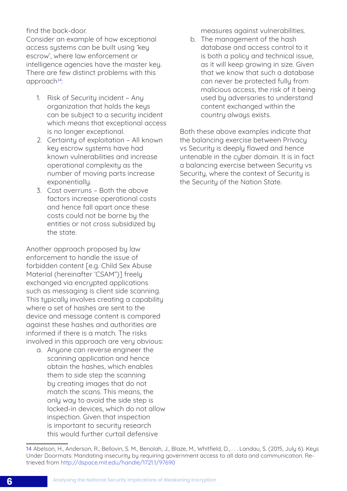#### find the back-door.

Consider an example of how exceptional access systems can be built usina 'keu escrow', where law enforcement or intelligence agencies have the master key. There are few distinct problems with this approach<sup>14</sup>:

- 1. Risk of Security incident Any organization that holds the keys can be subject to a security incident which means that exceptional access is no longer exceptional.
- 2. Certainty of exploitation All known key escrow systems have had known vulnerabilities and increase operational complexity as the number of moving parts increase exponentiallu.
- 3. Cost overruns Both the above factors increase operational costs and hence fall apart once these costs could not be borne by the entities or not cross subsidized by the state.

Another approach proposed by law enforcement to handle the issue of forbidden content [e.g. Child Sex Abuse Material (hereinafter 'CSAM")] freely exchanged via encrypted applications such as messaging is client side scanning. This typically involves creating a capability where a set of hashes are sent to the device and message content is compared against these hashes and authorities are informed if there is a match. The risks involved in this approach are very obvious:

a. Anyone can reverse engineer the scanning application and hence obtain the hashes, which enables them to side step the scanning by creating images that do not match the scans. This means, the only way to avoid the side step is locked-in devices, which do not allow inspection. Given that inspection is important to security research this would further curtail defensive

measures against vulnerabilities.

b. The management of the hash database and access control to it is both a policy and technical issue, as it will keep growing in size. Given that we know that such a database can never be protected fully from malicious access, the risk of it being used by adversaries to understand content exchanged within the country always exists.

Both these above examples indicate that the balancing exercise between Privacy vs Security is deeply flawed and hence untenable in the cuber domain. It is in fact a balancing exercise between Security vs Security, where the context of Security is the Security of the Nation State.

<sup>14</sup> Abelson, H., Anderson, R., Bellovin, S. M., Benolah, J., Blaze, M., Whitfield, D., . . . Landau, S. (2015, July 6). Keys Under Doormats: Mandating insecurity by requiring government access to all data and communication. Retrieved from<http://dspace.mit.edu/handle/1721.1/97690>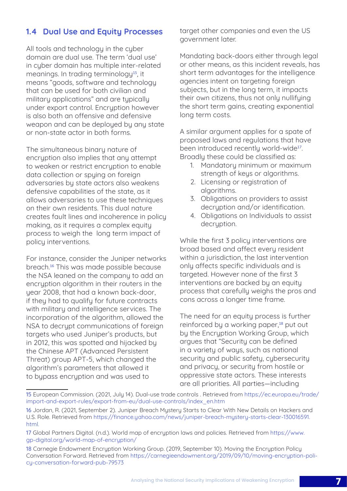## <span id="page-14-0"></span>1.4 Dual Use and Equity Processes

All tools and technology in the cyber domain are dual use. The term 'dual use' in cyber domain has multiple inter-related meanings. In trading terminology<sup>15</sup>, it means "goods, software and technology that can be used for both civilian and military applications" and are tupically under export control. Encryption however is also both an offensive and defensive weapon and can be deployed by any state or non-state actor in both forms.

The simultaneous binary nature of encryption also implies that any attempt to weaken or restrict encryption to enable data collection or spying on foreign adversaries by state actors also weakens defensive capabilities of the state, as it allows adversaries to use these techniques on their own residents. This dual nature creates fault lines and incoherence in policy making, as it requires a complex equity process to weigh the long term impact of policy interventions.

For instance, consider the Juniper networks breach.16 This was made possible because the NSA leaned on the company to add an encryption algorithm in their routers in the year 2008, that had a known back-door, if they had to qualify for future contracts with military and intelligence services. The incorporation of the algorithm, allowed the NSA to decrypt communications of foreign targets who used Juniper's products, but in 2012, this was spotted and hijacked by the Chinese APT (Advanced Persistent Threat) group APT-5, which changed the algorithm's parameters that allowed it to bypass encryption and was used to

target other companies and even the US government later.

Mandating back-doors either through legal or other means, as this incident reveals, has short term advantages for the intelligence agencies intent on targeting foreign subjects, but in the long term, it impacts their own citizens, thus not only nullifying the short term gains, creating exponential long term costs.

A similar argument applies for a spate of proposed laws and regulations that have been introduced recently world-wide<sup>17</sup>. Broadly these could be classified as:

- 1. Mandatory minimum or maximum strength of keys or algorithms.
- 2. Licensing or registration of algorithms.
- 3. Obligations on providers to assist decryption and/or identification.
- 4. Obligations on Individuals to assist decruption.

While the first 3 policy interventions are broad based and affect every resident within a jurisdiction, the last intervention only affects specific individuals and is targeted. However none of the first 3 interventions are backed by an equity process that carefully weighs the pros and cons across a longer time frame.

The need for an equity process is further reinforced by a working paper,<sup>18</sup> put out by the Encryption Working Group, which argues that "Security can be defined in a variety of ways, such as national security and public safety, cybersecurity and privacy, or security from hostile or oppressive state actors. These interests are all priorities. All parties—including

<sup>15</sup> European Commission. (2021, July 14). Dual-use trade controls . Retrieved from https://ec.europa.eu/trade/ import-and-export-rules/export-from-eu/dual-use-controls/index\_en.htm

<sup>16</sup> Jordan, R. (2021, September 2). Juniper Breach Mystery Starts to Clear With New Details on Hackers and U.S. Role. Retrieved from [https://finance.yahoo.com/news/juniper-breach-mystery-starts-clear-130016591.](https://finance.yahoo.com/news/juniper-breach-mystery-starts-clear-130016591.html.) [html.](https://finance.yahoo.com/news/juniper-breach-mystery-starts-clear-130016591.html.)

<sup>17</sup> Global Partners Digital. (n.d.). World map of encryption laws and policies. Retrieved from [https://www.](https://www.gp-digital.org/world-map-of-encryption/) [gp-digital.org/world-map-of-encryption/](https://www.gp-digital.org/world-map-of-encryption/)

<sup>18</sup> Carnegie Endowment Encryption Working Group. (2019, September 10). Moving the Encryption Policy Conversation Forward. Retrieved from [https://carnegieendowment.org/2019/09/10/moving-encryption-poli](https://carnegieendowment.org/2019/09/10/moving-encryption-policy-conversation-forward-pub-79573)[cy-conversation-forward-pub-79573](https://carnegieendowment.org/2019/09/10/moving-encryption-policy-conversation-forward-pub-79573)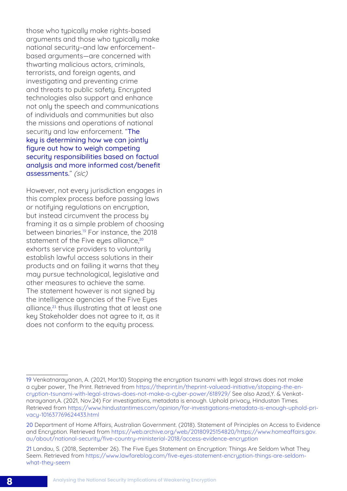those who typically make rights-based arguments and those who typically make national security–and law enforcement– based arguments—are concerned with thwarting malicious actors, criminals, terrorists, and foreign agents, and investigating and preventing crime and threats to public safety. Encrypted technologies also support and enhance not only the speech and communications of individuals and communities but also the missions and operations of national security and law enforcement. "The key is determining how we can jointly figure out how to weigh competing securitu responsibilities based on factual analysis and more informed cost/benefit assessments." (sic)

However, not every jurisdiction engages in this complex process before passing laws or notifying regulations on encryption, but instead circumvent the process by framing it as a simple problem of choosing between binaries.<sup>19</sup> For instance, the 2018 statement of the Five eyes alliance,<sup>20</sup> exhorts service providers to voluntarily establish lawful access solutions in their products and on failing it warns that they may pursue technological, legislative and other measures to achieve the same. The statement however is not signed by the intelligence agencies of the Five Eyes alliance,<sup>21</sup> thus illustrating that at least one key Stakeholder does not agree to it, as it does not conform to the equity process.

21 Landau, S. (2018, September 26). The Five Eyes Statement on Encryption: Things Are Seldom What They Seem. Retrieved from [https://www.lawfareblog.com/five-eyes-statement-encryption-things-are-seldom](https://www.lawfareblog.com/five-eyes-statement-encryption-things-are-seldom-what-they-seem )[what-they-seem](https://www.lawfareblog.com/five-eyes-statement-encryption-things-are-seldom-what-they-seem )

<sup>19</sup> Venkatnarayanan, A. (2021, Mar.10) Stopping the encryption tsunami with legal straws does not make a cyber power, The Print. Retrieved from [https://theprint.in/theprint-valuead-initiative/stopping-the-en](https://theprint.in/theprint-valuead-initiative/stopping-the-encryption-tsunami-with-legal-straws-does-not-make-a-cyber-power/618929/)[cryption-tsunami-with-legal-straws-does-not-make-a-cyber-power/618929/](https://theprint.in/theprint-valuead-initiative/stopping-the-encryption-tsunami-with-legal-straws-does-not-make-a-cyber-power/618929/) See also Azad,Y. & Venkatnarayanan,A. (2021, Nov.24) For investigations, metadata is enough. Uphold privacy, Hindustan Times. Retrieved from [https://www.hindustantimes.com/opinion/for-investigations-metadata-is-enough-uphold-pri](https://www.hindustantimes.com/opinion/for-investigations-metadata-is-enough-uphold-privacy-101637769624433.html)[vacy-101637769624433.html](https://www.hindustantimes.com/opinion/for-investigations-metadata-is-enough-uphold-privacy-101637769624433.html)

<sup>20</sup> Department of Home Affairs, Australian Government. (2018). Statement of Principles on Access to Evidence and Encruption. Retrieved from [https://web.archive.org/web/20180925154820/https://www.homeaffairs.gov.](https://web.archive.org/web/20180925154820/https://www.homeaffairs.gov.au/about/national-security/five-country-ministerial-2018/access-evidence-encryption ) [au/about/national-security/five-country-ministerial-2018/access-evidence-encryption](https://web.archive.org/web/20180925154820/https://www.homeaffairs.gov.au/about/national-security/five-country-ministerial-2018/access-evidence-encryption )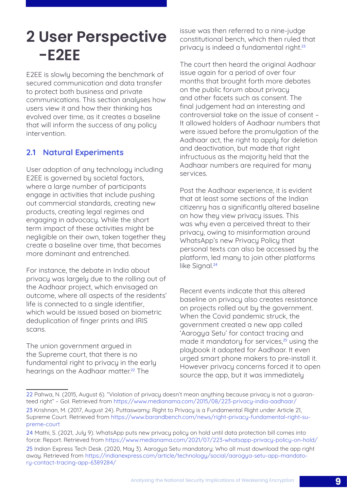## <span id="page-16-0"></span>**2 User Perspective -E2EE**

E2EE is slowly becoming the benchmark of secured communication and data transfer to protect both business and private communications. This section analyses how users view it and how their thinking has evolved over time, as it creates a baseline that will inform the success of any policy intervention.

## 2.1 Natural Experiments

User adoption of any technology including E2EE is governed by societal factors, where a large number of participants engage in activities that include pushing out commercial standards, creating new products, creating legal regimes and engaging in advocacy. While the short term impact of these activities might be negligible on their own, taken together they create a baseline over time, that becomes more dominant and entrenched.

For instance, the debate in India about privacy was largely due to the rolling out of the Aadhaar project, which envisaged an outcome, where all aspects of the residents' life is connected to a single identifier, which would be issued based on biometric deduplication of finger prints and IRIS scans.

The union government argued in the Supreme court, that there is no fundamental right to privacu in the early hearings on the Aadhaar matter.<sup>22</sup> The

issue was then referred to a nine-judge constitutional bench, which then ruled that privacy is indeed a fundamental right.<sup>23</sup>

The court then heard the original Aadhaar issue again for a period of over four months that brought forth more debates on the public forum about privacy and other facets such as consent. The final judgement had an interesting and controversial take on the issue of consent – It allowed holders of Aadhaar numbers that were issued before the promulgation of the Aadhaar act, the right to apply for deletion and deactivation, but made that right infructuous as the majority held that the Aadhaar numbers are required for many services.

Post the Aadhaar experience, it is evident that at least some sections of the Indian citizenry has a significantly altered baseline on how they view privacy issues. This was why even a perceived threat to their privacy, owing to misinformation around WhatsApp's new Privacy Policy that personal texts can also be accessed by the platform, led many to join other platforms like Signal.<sup>24</sup>

Recent events indicate that this altered baseline on privacy also creates resistance on projects rolled out by the government. When the Covid pandemic struck, the government created a new app called 'Aarogya Setu' for contact tracing and made it mandatory for services,<sup>25</sup> using the playbook it adopted for Aadhaar. It even urged smart phone makers to pre-install it. However privacy concerns forced it to open source the app, but it was immediately

<sup>22</sup> Pahwa, N. (2015, August 6). "Violation of privacy doesn't mean anything because privacy is not a guaranteed right" – GoI. Retrieved from<https://www.medianama.com/2015/08/223-privacy-india-aadhaar/>

<sup>23</sup> Krishnan, M. (2017, August 24). Puttaswamy: Right to Privacy is a Fundamental Right under Article 21, Supreme Court. Retrieved from [https://www.barandbench.com/news/right-privacy-fundamental-right-su](https://www.barandbench.com/news/right-privacy-fundamental-right-supreme-court)[preme-court](https://www.barandbench.com/news/right-privacy-fundamental-right-supreme-court)

<sup>24</sup> Mathi, S. (2021, July 9). WhatsApp puts new privacy policy on hold until data protection bill comes into force: Report. Retrieved from <https://www.medianama.com/2021/07/223-whatsapp-privacy-policy-on-hold/>

<sup>25</sup> Indian Express Tech Desk. (2020, May 3). Aarogya Setu mandatory: Who all must download the app right away. Retrieved from [https://indianexpress.com/article/technology/social/aarogya-setu-app-mandato](https://indianexpress.com/article/technology/social/aarogya-setu-app-mandatory-contact-tracing-app-6389284/)[ry-contact-tracing-app-6389284/](https://indianexpress.com/article/technology/social/aarogya-setu-app-mandatory-contact-tracing-app-6389284/)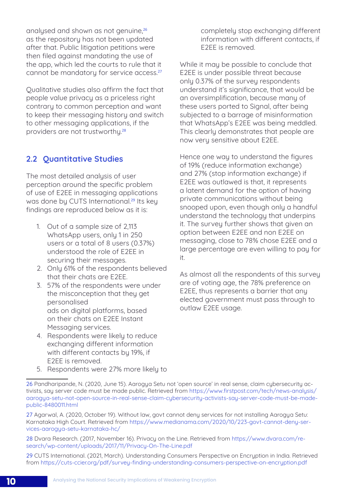<span id="page-17-0"></span>analysed and shown as not genuine.<sup>26</sup> as the repository has not been updated after that. Public litigation petitions were then filed against mandating the use of the app, which led the courts to rule that it cannot be mandatory for service access.<sup>27</sup>

Qualitative studies also affirm the fact that people value privacy as a priceless right contrary to common perception and want to keep their messaging history and switch to other messaging applications, if the providers are not trustworthy.<sup>28</sup>

## 2.2 Quantitative Studies

The most detailed analysis of user perception around the specific problem of use of E2EE in messaging applications was done by CUTS International.<sup>29</sup> Its key findings are reproduced below as it is:

- 1. Out of a sample size of 2,113 WhatsApp users, only 1 in 250 users or a total of 8 users (0.37%) understood the role of E2EE in securing their messages.
- 2. Only 61% of the respondents believed that their chats are E2EE.
- 3. 57% of the respondents were under the misconception that they get personalised ads on digital platforms, based on their chats on E2EE Instant Messaging services.
- 4. Respondents were likely to reduce exchanging different information with different contacts by 19%, if E2EE is removed.

completely stop exchanging different information with different contacts, if E2EE is removed.

While it may be possible to conclude that E2EE is under possible threat because only 0.37% of the survey respondents understand it's significance, that would be an oversimplification, because many of these users ported to Signal, after being subjected to a barrage of misinformation that WhatsApp's E2EE was being meddled. This clearly demonstrates that people are now very sensitive about E2EE.

Hence one way to understand the figures of 19% (reduce information exchange) and 27% (stop information exchange) if E2EE was outlawed is that, it represents a latent demand for the option of having private communications without being snooped upon, even though only a handful understand the technology that underpins it. The survey further shows that given an option between E2EE and non E2EE on messaging, close to 78% chose E2EE and a large percentage are even willing to pay for it.

As almost all the respondents of this survey are of voting age, the 78% preference on E2EE, thus represents a barrier that any elected government must pass through to outlaw E2EE usage.

5. Respondents were 27% more likely to

28 Dvara Research. (2017, November 16). Privacy on the Line. Retrieved from [https://www.dvara.com/re](https://www.dvara.com/research/wp-content/uploads/2017/11/Privacy-On-The-Line.pdf)[search/wp-content/uploads/2017/11/Privacy-On-The-Line.pdf](https://www.dvara.com/research/wp-content/uploads/2017/11/Privacy-On-The-Line.pdf)

29 CUTS International. (2021, March). Understanding Consumers Perspective on Encryption in India. Retrieved from <https://cuts-ccier.org/pdf/survey-finding-understanding-consumers-perspective-on-encryption.pdf>

<sup>26</sup> Pandharipande, N. (2020, June 15). Aarogya Setu not 'open source' in real sense, claim cybersecurity activists, say server code must be made public. Retrieved from [https://www.firstpost.com/tech/news-analysis/](https://www.firstpost.com/tech/news-analysis/aarogya-setu-not-open-source-in-real-sense-claim-cybersecurity-activists-say-server-code-must-be-made-public-8480011.html) [aarogya-setu-not-open-source-in-real-sense-claim-cybersecurity-activists-say-server-code-must-be-made](https://www.firstpost.com/tech/news-analysis/aarogya-setu-not-open-source-in-real-sense-claim-cybersecurity-activists-say-server-code-must-be-made-public-8480011.html)[public-8480011.html](https://www.firstpost.com/tech/news-analysis/aarogya-setu-not-open-source-in-real-sense-claim-cybersecurity-activists-say-server-code-must-be-made-public-8480011.html)

<sup>27</sup> Agarwal, A. (2020, October 19). Without law, govt cannot deny services for not installing Aarogya Setu: Karnataka High Court. Retrieved from [https://www.medianama.com/2020/10/223-govt-cannot-deny-ser](https://www.medianama.com/2020/10/223-govt-cannot-deny-services-aarogya-setu-karnataka-hc/ )[vices-aarogya-setu-karnataka-hc/](https://www.medianama.com/2020/10/223-govt-cannot-deny-services-aarogya-setu-karnataka-hc/ )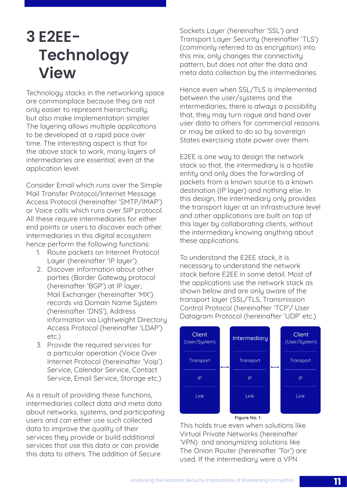## <span id="page-18-0"></span>**3 E2EE-Technology View**

Technology stacks in the networking space are commonplace because they are not only easier to represent hierarchically, but also make implementation simpler. The layering allows multiple applications to be developed at a rapid pace over time. The interesting aspect is that for the above stack to work, many layers of intermediaries are essential, even at the application level.

Consider Email which runs over the Simple Mail Transfer Protocol/Internet Message Access Protocol (hereinafter 'SMTP/IMAP') or Voice calls which runs over SIP protocol. All these require intermediaries for either end points or users to discover each other. Intermediaries in this digital ecosystem hence perform the following functions:

- 1. Route packets on Internet Protocol Layer (hereinafter 'IP layer').
- 2. Discover information about other parties (Border Gateway protocol (hereinafter 'BGP') at IP layer, Mail Exchanger (hereinafter 'MX') records via Domain Name System (hereinafter 'DNS'), Address information via Lightweight Directory Access Protocol (hereinafter 'LDAP') etc.)
- 3. Provide the required services for a particular operation (Voice Over Internet Protocol (hereinafter 'Voip') Service, Calendar Service, Contact Service, Email Service, Storage etc.)

As a result of providing these functions, intermediaries collect data and meta data about networks, sustems, and participating users and can either use such collected data to improve the quality of their services they provide or build additional services that use this data or can provide this data to others. The addition of Secure

Sockets Layer (hereinafter 'SSL') and Transport Layer Security (hereinafter 'TLS') (commonly referred to as encryption) into this mix, only changes the connectivity pattern, but does not alter the data and meta data collection by the intermediaries.

Hence even when SSL/TLS is implemented between the user/systems and the intermediaries, there is always a possibility that, they may turn rogue and hand over user data to others for commercial reasons or may be asked to do so by sovereign States exercising state power over them.

E2EE is one way to design the network stack so that, the intermediary is a hostile entity and only does the forwarding of packets from a known source to a known destination (IP layer) and nothing else. In this design, the intermediary only provides the transport layer at an infrastructure level and other applications are built on top of this layer by collaborating clients, without the intermediary knowing anything about these applications.

To understand the E2EE stack, it is necessary to understand the network stack before E2EE in some detail. Most of the applications use the network stack as shown below and are only aware of the transport layer (SSL/TLS, Transmission Control Protocol (hereinafter 'TCP'/ User Datagram Protocol (hereinafter 'UDP' etc.)



Figure No. 1

This holds true even when solutions like Virtual Private Networks (hereinafter 'VPN) and anonymizing solutions like The Onion Router (hereinafter 'Tor') are used. If the intermediary were a VPN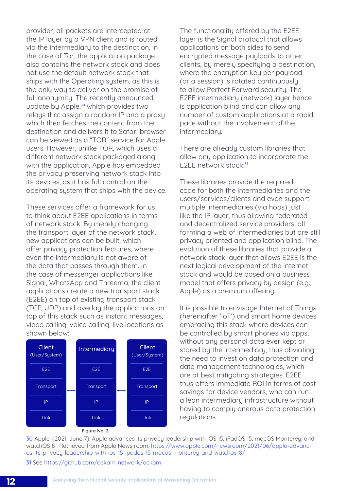provider, all packets are intercepted at the IP layer by a VPN client and is routed via the intermediary to the destination. In the case of Tor, the application package also contains the network stack and does not use the default network stack that ships with the Operating sustem, as this is the only way to deliver on the promise of full anonymity. The recently announced update by Apple,<sup>30</sup> which provides two relays that assign a random IP and a proxy which then fetches the content from the destination and delivers it to Safari browser can be viewed as a "TOR" service for Apple users. However, unlike TOR, which uses a different network stack packaged along with the application, Apple has embedded the privacy-preserving network stack into its devices, as it has full control on the operating system that ships with the device.

These services offer a framework for us to think about E2EE applications in terms of network stack. By merely changing the transport layer of the network stack, new applications can be built, which offer privacy protection features, where even the intermediary is not aware of the data that passes through them. In the case of messenger applications like Signal, WhatsApp and Threema, the client applications create a new transport stack (E2EE) on top of existing transport stack (TCP, UDP) and overlay the applications on top of this stack such as instant messages, video calling, voice calling, live locations as shown below:



Figure No. 2

The functionality offered by the E2EE layer is the Signal protocol that allows applications on both sides to send encrypted message payloads to other clients, by merely specifying a destination, where the encryption key per payload (or a session) is rotated continuously to allow Perfect Forward security. The E2EE intermediary (network) layer hence is application blind and can allow any number of custom applications at a rapid pace without the involvement of the intermediary.

There are already custom libraries that allow any application to incorporate the E2EE network stack.<sup>31</sup>

These libraries provide the required code for both the intermediaries and the users/services/clients and even support multiple intermediaries (via hops) just like the IP layer, thus allowing federated and decentralized service providers, all forming a web of intermediaries but are still privacy oriented and application blind. The evolution of these libraries that provide a network stack layer that allows E2EE is the next logical development of the internet stack and would be based on a business model that offers privacu by design (e.g., Apple) as a premium offering.

It is possible to envisage Internet of Things (hereinafter 'IoT') and smart home devices embracing this stack where devices can be controlled by smart phones via apps, without any personal data ever kept or stored by the intermediary, thus obviating the need to invest on data protection and data management technologies, which are at best mitigating strategies. E2EE thus offers immediate ROI in terms of cost savings for device vendors, who can run a lean intermediary infrastructure without having to comply onerous data protection regulations.

30 Apple. (2021, June 7). Apple advances its privacy leadership with iOS 15, iPadOS 15, macOS Monterey, and watchOS 8 . Retrieved from Apple News room: [https://www.apple.com/newsroom/2021/06/apple-advanc](https://www.apple.com/newsroom/2021/06/apple-advances-its-privacy-leadership-with-ios-15-ipados-15-macos-monterey-and-watchos-8/)[es-its-privacy-leadership-with-ios-15-ipados-15-macos-monterey-and-watchos-8/](https://www.apple.com/newsroom/2021/06/apple-advances-its-privacy-leadership-with-ios-15-ipados-15-macos-monterey-and-watchos-8/)

31 See <https://github.com/ockam-network/ockam>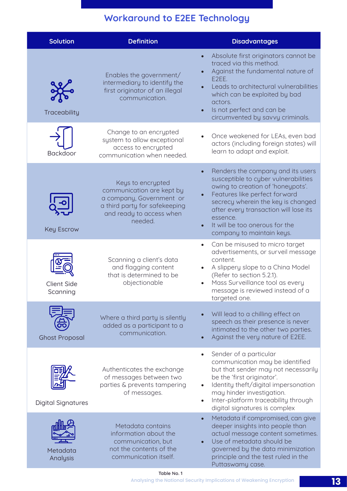## Workaround to E2EE Technology

| <b>Solution</b>                | <b>Definition</b>                                                                                                                                  | <b>Disadvantages</b>                                                                                                                                                                                                                                                                                                                |
|--------------------------------|----------------------------------------------------------------------------------------------------------------------------------------------------|-------------------------------------------------------------------------------------------------------------------------------------------------------------------------------------------------------------------------------------------------------------------------------------------------------------------------------------|
| Traceability                   | Enables the government/<br>intermediary to identify the<br>first originator of an illegal<br>communication.                                        | Absolute first originators cannot be<br>traced via this method.<br>Against the fundamental nature of<br>E2EE.<br>Leads to architectural vulnerabilities<br>which can be exploited by bad<br>actors.<br>Is not perfect and can be<br>$\bullet$<br>circumvented by savvy criminals.                                                   |
| <b>Backdoor</b>                | Change to an encrypted<br>system to allow exceptional<br>access to encrypted<br>communication when needed.                                         | Once weakened for LEAs, even bad<br>actors (including foreign states) will<br>learn to adapt and exploit.                                                                                                                                                                                                                           |
| <b>Key Escrow</b>              | Keys to encrypted<br>communication are kept by<br>a company, Government or<br>a third party for safekeeping<br>and ready to access when<br>needed. | Renders the company and its users<br>susceptible to cyber vulnerabilities<br>owing to creation of 'honeypots'.<br>Features like perfect forward<br>$\bullet$<br>secrecy wherein the key is changed<br>after every transaction will lose its<br>essence.<br>It will be too onerous for the<br>$\bullet$<br>company to maintain keys. |
| <b>Client Side</b><br>Scanning | Scanning a client's data<br>and flagging content<br>that is determined to be<br>objectionable                                                      | Can be misused to micro target<br>$\bullet$<br>advertisements, or surveil message<br>content.<br>A slippery slope to a China Model<br>(Refer to section 5.2.1).<br>Mass Surveillance tool as every<br>$\bullet$<br>message is reviewed instead of a<br>targeted one.                                                                |
| <b>Ghost Proposal</b>          | Where a third party is silently<br>added as a participant to a<br>communication.                                                                   | Will lead to a chilling effect on<br>speech as their presence is never<br>intimated to the other two parties.<br>Against the very nature of E2EE.                                                                                                                                                                                   |
| <b>Digital Signatures</b>      | Authenticates the exchange<br>of messages between two<br>parties & prevents tampering<br>of messages.                                              | Sender of a particular<br>$\bullet$<br>communication may be identified<br>but that sender may not necessarily<br>be the 'first originator'.<br>Identity theft/digital impersonation<br>$\bullet$<br>may hinder investigation.<br>Inter-platform traceability through<br>$\bullet$<br>digital signatures is complex                  |
| Metadata<br>Analysis           | Metadata contains<br>information about the<br>communication, but<br>not the contents of the<br>communication itself.                               | Metadata if compromised, can give<br>$\bullet$<br>deeper insights into people than<br>actual message content sometimes.<br>Use of metadata should be<br>governed by the data minimization<br>principle and the test ruled in the<br>Puttaswamy case.                                                                                |

Analysing the National Security Implications of Weakening Encryption Table No. 1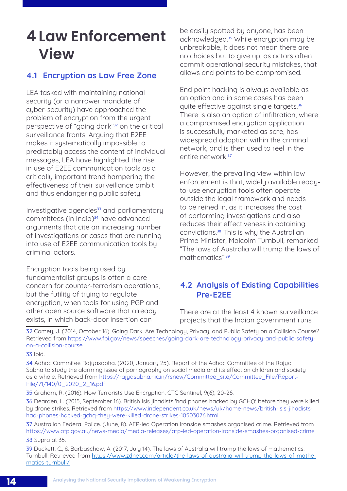## <span id="page-21-0"></span>**4 Law Enforcement View**

## 4.1 Encryption as Law Free Zone

LEA tasked with maintaining national security (or a narrower mandate of cyber-security) have approached the problem of encryption from the urgent perspective of "going dark"32 on the critical surveillance fronts. Arguing that E2EE makes it sustematically impossible to predictably access the content of individual messages, LEA have highlighted the rise in use of E2EE communication tools as a critically important trend hampering the effectiveness of their surveillance ambit and thus endangering public safety.

Investigative agencies<sup>33</sup> and parliamentary committees (in India)<sup>34</sup> have advanced arguments that cite an increasing number of investigations or cases that are running into use of E2EE communication tools by criminal actors.

Encryption tools being used by fundamentalist groups is often a core concern for counter-terrorism operations, but the futility of trying to regulate encryption, when tools for using PGP and other open source software that already exists, in which back-door insertion can

be easily spotted by anyone, has been acknowledged.35 While encryption may be unbreakable, it does not mean there are no choices but to give up, as actors often commit operational security mistakes, that allows end points to be compromised.

End point hacking is always available as an option and in some cases has been quite effective against single targets.<sup>36</sup> There is also an option of infiltration, where a compromised encryption application is successfully marketed as safe, has widespread adoption within the criminal network, and is then used to reel in the entire network.<sup>37</sup>

However, the prevailing view within law enforcement is that, widely available readyto-use encryption tools often operate outside the legal framework and needs to be reined in, as it increases the cost of performing investigations and also reduces their effectiveness in obtaining convictions.38 This is why the Australian Prime Minister, Malcolm Turnbull, remarked "The laws of Australia will trump the laws of mathematics".<sup>39</sup>

## 4.2 Analysis of Existing Capabilities Pre-E2EE

There are at the least 4 known surveillance projects that the Indian government runs

32 Comey, J. (2014, October 16). Going Dark: Are Technology, Privacy, and Public Safety on a Collision Course? Retrieved from [https://www.fbi.gov/news/speeches/going-dark-are-technology-privacy-and-public-safety](https://www.fbi.gov/news/speeches/going-dark-are-technology-privacy-and-public-safety-on-a-collision-course)[on-a-collision-course](https://www.fbi.gov/news/speeches/going-dark-are-technology-privacy-and-public-safety-on-a-collision-course)

33 Ibid.

34 Adhoc Commitee Rajyasabha. (2020, January 25). Report of the Adhoc Committee of the Rajya Sabha to study the alarming issue of pornography on social media and its effect on children and society as a whole. Retrieved from [https://rajyasabha.nic.in/rsnew/Committee\\_site/Committee\\_File/Report](https://rajyasabha.nic.in/rsnew/Committee_site/Committee_File/ReportFile/71/140/0_2020_2_16.pdf)-[File/71/140/0\\_2020\\_2\\_16.pdf](https://rajyasabha.nic.in/rsnew/Committee_site/Committee_File/ReportFile/71/140/0_2020_2_16.pdf)

35 Graham, R. (2016). How Terrorists Use Encryption. CTC Sentinel, 9(6), 20-26.

36 Dearden, L. (2015, September 16). British Isis jihadists 'had phones hacked by GCHQ' before they were killed by drone strikes. Retrieved from [https://www.independent.co.uk/news/uk/home-news/british-isis-jihadists](https://www.independent.co.uk/news/uk/home-news/british-isis-jihadists-had-phones-hacked-gchq-they-were-killed-drone-strikes-10503076.html)[had-phones-hacked-gchq-they-were-killed-drone-strikes-10503076.html](https://www.independent.co.uk/news/uk/home-news/british-isis-jihadists-had-phones-hacked-gchq-they-were-killed-drone-strikes-10503076.html)

37 Australian Federal Police. (June, 8). AFP-led Operation Ironside smashes organised crime. Retrieved from <https://www.afp.gov.au/news-media/media-releases/afp-led-operation-ironside-smashes-organised-crime> 38 Supra at 35.

39 Duckett, C., & Barbaschow, A. (2017, July 14). The laws of Australia will trump the laws of mathematics: Turnbull. Retrieved from [https://www.zdnet.com/article/the-laws-of-australia-will-trump-the-laws-of-mathe](https://www.zdnet.com/article/the-laws-of-australia-will-trump-the-laws-of-mathematics-turnbull/)[matics-turnbull/](https://www.zdnet.com/article/the-laws-of-australia-will-trump-the-laws-of-mathematics-turnbull/)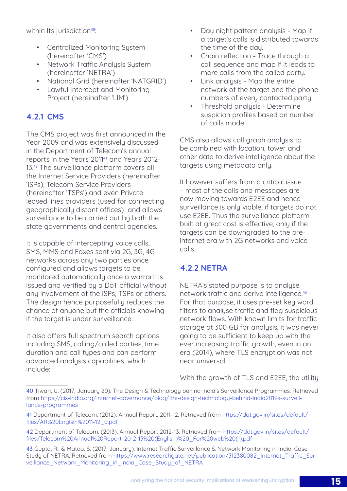<span id="page-22-0"></span>within Its jurisdiction<sup>40</sup>:

- Centralized Monitoring System (hereinafter 'CMS')
- Network Traffic Analysis System (hereinafter 'NETRA')
- National Grid (hereinafter 'NATGRID')
- Lawful Intercept and Monitoring Project (hereinafter 'LIM')

## 4.2.1 CMS

The CMS project was first announced in the Year 2009 and was extensively discussed in the Department of Telecom's annual reports in the Years 201141 and Years 2012- 13.<sup>42</sup> The surveillance platform covers all the Internet Service Providers (hereinafter 'ISPs), Telecom Service Providers (hereinafter 'TSPs') and even Private leased lines providers (used for connecting geographically distant offices) and allows surveillance to be carried out by both the state governments and central agencies.

It is capable of intercepting voice calls, SMS, MMS and Faxes sent via 2G, 3G, 4G networks across any two parties once configured and allows targets to be monitored automatically once a warrant is issued and verified by a DoT official without any involvement of the ISPs, TSPs or others. The design hence purposefully reduces the chance of anyone but the officials knowing if the target is under surveillance.

It also offers full spectrum search options including SMS, calling/called parties, time duration and call types and can perform advanced analysis capabilities, which include:

- Day night pattern analysis Map if a target's calls is distributed towards the time of the day.
- Chain reflection Trace through a call sequence and map if it leads to more calls from the called party.
- Link analusis Map the entire network of the target and the phone numbers of every contacted party.
- Threshold analysis Determine suspicion profiles based on number of calls made.

CMS also allows call graph analysis to be combined with location, tower and other data to derive intelligence about the targets using metadata only.

It however suffers from a critical issue – most of the calls and messages are now moving towards E2EE and hence surveillance is only viable, if targets do not use E2EE. Thus the surveillance platform built at great cost is effective, only if the targets can be downgraded to the preinternet era with 2G networks and voice calls.

## 4.2.2 NETRA

NETRA's stated purpose is to analyse network traffic and derive intelligence.<sup>43</sup> For that purpose, it uses pre-set key word filters to analyse traffic and flag suspicious network flows. With known limits for traffic storage at 300 GB for analysis, it was never going to be sufficient to keep up with the ever increasing traffic growth, even in an era (2014), where TLS encryption was not near universal.

With the growth of TLS and E2EE, the utility

<sup>40</sup> Tiwari, U. (2017, January 20). The Design & Technology behind India's Surveillance Programmes. Retrieved from [https://cis-india.org/internet-governance/blog/the-design-technology-behind-india2019s-surveil](https://cis-india.org/internet-governance/blog/the-design-technology-behind-india2019s-surveillance-programmes)[lance-programmes](https://cis-india.org/internet-governance/blog/the-design-technology-behind-india2019s-surveillance-programmes)

<sup>41</sup> Department of Telecom. (2012). Annual Report, 2011-12. Retrieved from [https://dot.gov.in/sites/default/](https://dot.gov.in/sites/default/files/AR%20Englsih%2011-12_0.pdf) [files/AR%20Englsih%2011-12\\_0.pdf](https://dot.gov.in/sites/default/files/AR%20Englsih%2011-12_0.pdf)

<sup>42</sup> Department of Telecom. (2013). Annual Report 2012-13. Retrieved from [https://dot.gov.in/sites/default/](https://dot.gov.in/sites/default/files/Telecom%20Annual%20Report-2012-13%20(English)%20_For%20web%20(1).pdf) [files/Telecom%20Annual%20Report-2012-13%20\(English\)%20\\_For%20web%20\(1\).pdf](https://dot.gov.in/sites/default/files/Telecom%20Annual%20Report-2012-13%20(English)%20_For%20web%20(1).pdf)

<sup>43</sup> Gupta, R., & Matoo, S. (2017, January). Internet Traffic Surveillance & Network Monitoring in India: Case Study of NETRA. Retrieved from [https://www.researchgate.net/publication/312380082\\_Internet\\_Traffic\\_Sur](https://www.researchgate.net/publication/312380082_Internet_Traffic_Surveillance_Network_Monitoring_in_India_Case_Study_of_NETRA)veillance Network Monitoring in India Case Study of NETRA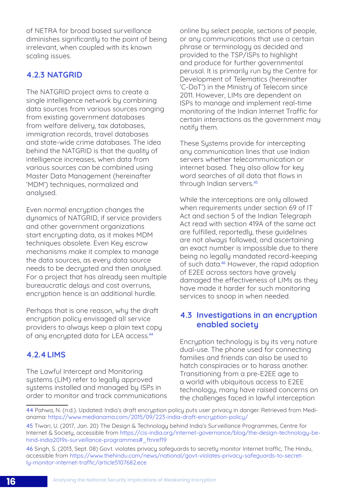<span id="page-23-0"></span>of NETRA for broad based surveillance diminishes significantly to the point of being irrelevant, when coupled with its known scaling issues.

## 4.2.3 NATGRID

The NATGRID project aims to create a single intelligence network by combining data sources from various sources ranging from existing government databases from welfare delivery, tax databases. immigration records, travel databases and state-wide crime databases. The idea behind the NATGRID is that the quality of intelligence increases, when data from various sources can be combined using Master Data Management (hereinafter 'MDM') techniques, normalized and analysed.

Even normal encryption changes the dynamics of NATGRID, if service providers and other government organizations start encrypting data, as it makes MDM techniques obsolete. Even Key escrow mechanisms make it complex to manage the data sources, as every data source needs to be decrypted and then analysed. For a project that has already seen multiple bureaucratic delays and cost overruns, encruption hence is an additional hurdle.

Perhaps that is one reason, why the draft encryption policy envisaged all service providers to always keep a plain text copy of any encrupted data for LEA access.<sup>44</sup>

## 4.2.4LIMS

The Lawful Intercept and Monitoring systems (LIM) refer to legally approved systems installed and managed by ISPs in order to monitor and track communications online by select people, sections of people, or any communications that use a certain phrase or terminology as decided and provided to the TSP/ISPs to highlight and produce for further governmental perusal. It is primarily run by the Centre for Development of Telematics (hereinafter 'C-DoT') in the Ministry of Telecom since 2011. However, LIMs are dependent on ISPs to manage and implement real-time monitoring of the Indian Internet Traffic for certain interactions as the government may notify them.

These Systems provide for intercepting any communication lines that use Indian servers whether telecommunication or internet based. They also allow for key word searches of all data that flows in through Indian servers.<sup>45</sup>

While the interceptions are only allowed when requirements under section 69 of IT Act and section 5 of the Indian Telegraph Act read with section 419A of the same act are fulfilled, reportedly, these guidelines are not always followed, and ascertaining an exact number is impossible due to there being no legally mandated record-keeping of such data.<sup>46</sup> However, the rapid adoption of E2EE across sectors have gravely damaged the effectiveness of LIMs as they have made it harder for such monitoring services to snoop in when needed.

## 4.3 Investigations in an encryption enabled society

Encryption technology is by its very nature dual-use. The phone used for connecting families and friends can also be used to hatch conspiracies or to harass another. Transitioning from a pre-E2EE age to a world with ubiquitous access to E2EE technology, many have raised concerns on the challenges faced in lawful interception

<sup>44</sup> Pahwa, N. (n.d.). Updated: India's draft encryption policy puts user privacy in danger. Retrieved from Medianama: <https://www.medianama.com/2015/09/223-india-draft-encryption-policy/>

<sup>45</sup> Tiwari, U. (2017, Jan. 20) The Design & Technology behind India's Surveillance Programmes, Centre for Internet & Society, accessible from https://cis-india.org/internet-governance/blog/the-design-technology-behind-india2019s-surveillance-programmes#\_ftnref19

<sup>46</sup> Singh, S. (2013, Sept. 08) Govt. violates privacy safeguards to secretly monitor Internet traffic, The Hindu, accessible from [https://www.thehindu.com/news/national/govt-violates-privacy-safeguards-to-secret](https://www.thehindu.com/news/national/govt-violates-privacy-safeguards-to-secretly-monitor-internet-traffic/article5107682.ece)[ly-monitor-internet-traffic/article5107682.ece](https://www.thehindu.com/news/national/govt-violates-privacy-safeguards-to-secretly-monitor-internet-traffic/article5107682.ece)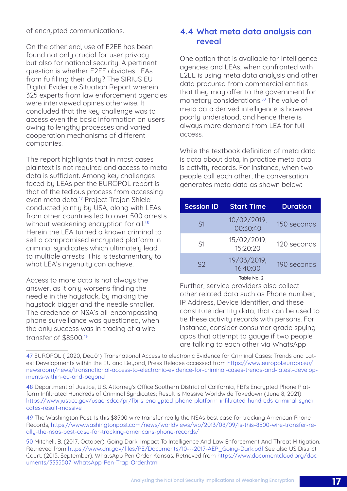<span id="page-24-0"></span>of encrypted communications.

On the other end, use of E2EE has been found not only crucial for user privacy but also for national security. A pertinent question is whether E2EE obviates LEAs from fulfilling their duty? The SIRIUS EU Digital Evidence Situation Report wherein 325 experts from law enforcement agencies were interviewed opines otherwise. It concluded that the key challenge was to access even the basic information on users owing to lengthy processes and varied cooperation mechanisms of different companies.

The report highlights that in most cases plaintext is not required and access to meta data is sufficient. Among key challenges faced by LEAs per the EUROPOL report is that of the tedious process from accessing even meta data.47 Project Trojan Shield conducted jointly by USA, along with LEAs from other countries led to over 500 arrests without weakening encryption for all.<sup>48</sup> Herein the LEA turned a known criminal to sell a compromised encrypted platform in criminal syndicates which ultimately lead to multiple arrests. This is testamentary to what LEA's ingenuity can achieve.

Access to more data is not always the answer, as it only worsens finding the needle in the haystack, by making the haustack bigger and the needle smaller. The credence of NSA's all-encompassing phone surveillance was questioned, when the only success was in tracing of a wire transfer of \$8500.<sup>49</sup>

## 4.4 What meta data analysis can reveal

One option that is available for Intelligence agencies and LEAs, when confronted with E2EE is using meta data analysis and other data procured from commercial entities that they may offer to the government for monetary considerations.<sup>50</sup> The value of meta data derived intelligence is however poorly understood, and hence there is always more demand from LEA for full access.

While the textbook definition of meta data is data about data, in practice meta data is activity records. For instance, when two people call each other, the conversation generates meta data as shown below:

| <b>Session ID</b> | <b>Start Time</b>       | <b>Duration</b> |
|-------------------|-------------------------|-----------------|
| S1                | 10/02/2019,<br>00:30:40 | 150 seconds     |
| S1                | 15/02/2019,<br>15:20:20 | 120 seconds     |
| S <sub>2</sub>    | 19/03/2019,<br>16:40:00 | 190 seconds     |

Table No. 2

Further, service providers also collect other related data such as Phone number, IP Address, Device Identifier, and these constitute identity data, that can be used to tie these activity records with persons. For instance, consider consumer grade spying apps that attempt to gauge if two people are talking to each other via WhatsApp

<sup>47</sup> EUROPOL ( 2020, Dec.01) Transnational Access to electronic Evidence for Criminal Cases: Trends and Latest Developments within the EU and Beyond, Press Release accessed from [https://www.europol.europa.eu/](https://www.europol.europa.eu/newsroom/news/transnational-access-to-electronic-evidence-for-criminal-cases-trends-and-latest-developments-within-eu-and-beyond) [newsroom/news/transnational-access-to-electronic-evidence-for-criminal-cases-trends-and-latest-develop](https://www.europol.europa.eu/newsroom/news/transnational-access-to-electronic-evidence-for-criminal-cases-trends-and-latest-developments-within-eu-and-beyond)[ments-within-eu-and-beyond](https://www.europol.europa.eu/newsroom/news/transnational-access-to-electronic-evidence-for-criminal-cases-trends-and-latest-developments-within-eu-and-beyond)

<sup>48</sup> Department of Justice, U.S. Attorney's Office Southern District of California, FBI's Encrypted Phone Platform Infiltrated Hundreds of Criminal Syndicates; Result is Massive Worldwide Takedown (June 8, 2021) [https://www.justice.gov/usao-sdca/pr/fbi-s-encrypted-phone-platform-infiltrated-hundreds-criminal-syndi](https://www.justice.gov/usao-sdca/pr/fbi-s-encrypted-phone-platform-infiltrated-hundreds-criminal-syndicates-result-massive)[cates-result-massive](https://www.justice.gov/usao-sdca/pr/fbi-s-encrypted-phone-platform-infiltrated-hundreds-criminal-syndicates-result-massive)

<sup>49</sup> The Washington Post, Is this \$8500 wire transfer really the NSAs best case for tracking American Phone Records, [https://www.washingtonpost.com/news/worldviews/wp/2013/08/09/is-this-8500-wire-transfer-re](https://www.washingtonpost.com/news/worldviews/wp/2013/08/09/is-this-8500-wire-transfer-really-the-nsas-best-case-for-tracking-americans-phone-records/)[ally-the-nsas-best-case-for-tracking-americans-phone-records/](https://www.washingtonpost.com/news/worldviews/wp/2013/08/09/is-this-8500-wire-transfer-really-the-nsas-best-case-for-tracking-americans-phone-records/)

<sup>50</sup> Mitchell, B. (2017, October). Going Dark: Impact To Intelligence And Law Enforcement And Threat Mitigation. Retrieved from [https://www.dni.gov/files/PE/Documents/10---2017-AEP\\_Going-Dark.pdf](https://www.dni.gov/files/PE/Documents/10---2017-AEP_Going-Dark.pdf) See also US District Court. (2015, September). WhatsApp Pen Order Kansas. Retrieved from [https://www.documentcloud.org/doc](https://www.documentcloud.org/documents/3335507-WhatsApp-Pen-Trap-Order.html)[uments/3335507-WhatsApp-Pen-Trap-Order.html](https://www.documentcloud.org/documents/3335507-WhatsApp-Pen-Trap-Order.html)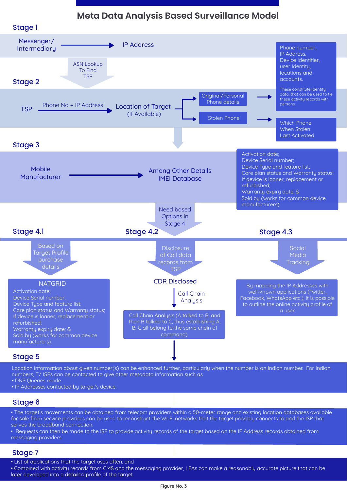## **Meta Data Analysis Based Surveillance Model**



Location information about given number(s) can be enhanced further, particularly when the number is an Indian number. For Indian numbers, T/ ISPs can be contacted to give other metadata information such as

• DNS Queries made.

• IP Addresses contacted by target's device.

### Stage 6

• The target's movements can be obtained from telecom providers within a 50-meter range and existing location databases available for sale from service providers can be used to reconstruct the Wi-Fi networks that the target possibly connects to and the ISP that serves the broadband connection.

• Requests can then be made to the ISP to provide activity records of the target based on the IP Address records obtained from messaging providers.

#### Stage 7

• List of applications that the target uses often; and

• Combined with activity records from CMS and the messaging provider, LEAs can make a reasonably accurate picture that can be later developed into a detailed profile of the target.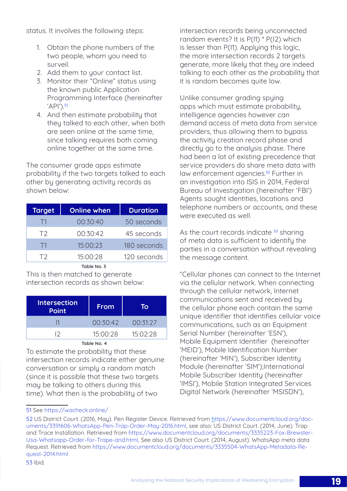status. It involves the following steps:

- 1. Obtain the phone numbers of the two people, whom you need to surveil.
- 2. Add them to your contact list.
- 3. Monitor their "Online" status using the known public Application Programming Interface (hereinafter  $'API')<sub>.51</sub>$
- 4. And then estimate probability that they talked to each other, when both are seen online at the same time, since talking requires both coming online together at the same time.

The consumer grade apps estimate probability if the two targets talked to each other by generating activity records as shown below:

| <b>Target</b>  | <b>Online when</b> | <b>Duration</b> |
|----------------|--------------------|-----------------|
| $\Box$         | 00:30:40           | 50 seconds      |
| T <sub>2</sub> | 00:30:42           | 45 seconds      |
| - 11           | 15:00:23           | 180 seconds     |
| T2.            | 15:00:28           | 120 seconds     |

Table No. 3

This is then matched to generate intersection records as shown below:

| <b>Intersection</b><br><b>Point</b> | From     | ГΟ       |
|-------------------------------------|----------|----------|
|                                     | 00:30:42 | 00:31:27 |
| 12                                  | 15:00:28 | 15:02:28 |

#### Table No. 4

To estimate the probability that these intersection records indicate either genuine conversation or simply a random match (since it is possible that these two targets may be talking to others during this time). What then is the probability of two

intersection records being unconnected random events? It is P(I1) \* P(I2) which is lesser than P(I1). Applying this logic, the more intersection records 2 targets generate, more likely that they are indeed talking to each other as the probability that it is random becomes quite low.

Unlike consumer grading spying apps which must estimate probability, intelligence agencies however can demand access of meta data from service providers, thus allowing them to bypass the activity creation record phase and directly go to the analysis phase. There had been a lot of existing precedence that service providers do share meta data with law enforcement agencies.<sup>52</sup> Further in an investigation into ISIS in 2014, Federal Bureau of Investigation (hereinafter 'FBI') Agents sought identities, locations and telephone numbers or accounts, and these were executed as well.

As the court records indicate <sup>53</sup> sharing of meta data is sufficient to identify the parties in a conversation without revealing the message content.

"Cellular phones can connect to the Internet via the cellular network. When connecting through the cellular network, Internet communications sent and received by the cellular phone each contain the same unique identifier that identifies cellular voice communications, such as an Equipment Serial Number (hereinafter 'ESN'), Mobile Equipment Identifier (hereinafter 'MEID'), Mobile Identification Number (hereinafter 'MIN'), Subscriber Identity Module (hereinafter 'SIM'),International Mobile Subscriber Identity (hereinafter 'IMSI'), Mobile Station Integrated Services Digital Network (hereinafter 'MSISDN'),

53 Ibid.

<sup>51</sup> See<https://wacheck.online/>

<sup>52</sup> US District Court. (2016, May). Pen Register Device. Retrieved from [https://www.documentcloud.org/doc](https://www.documentcloud.org/documents/3391606-WhatsApp-Pen-Trap-Order-May-2016.html)[uments/3391606-WhatsApp-Pen-Trap-Order-May-2016.html,](https://www.documentcloud.org/documents/3391606-WhatsApp-Pen-Trap-Order-May-2016.html) see also: US District Court. (2014, June). Trap and Trace Installation. Retrieved from [https://www.documentcloud.org/documents/3335223-Fox-Brewster-](https://www.documentcloud.org/documents/3335223-Fox-Brewster-Usa-Whatsapp-Order-for-Trape-and.html)[Usa-Whatsapp-Order-for-Trape-and.html](https://www.documentcloud.org/documents/3335223-Fox-Brewster-Usa-Whatsapp-Order-for-Trape-and.html), See also US District Court. (2014, August). WhatsApp meta data Request. Retrieved from [https://www.documentcloud.org/documents/3335504-WhatsApp-Metadata-Re](https://www.documentcloud.org/documents/3335504-WhatsApp-Metadata-Request-2014.html)[quest-2014.html](https://www.documentcloud.org/documents/3335504-WhatsApp-Metadata-Request-2014.html)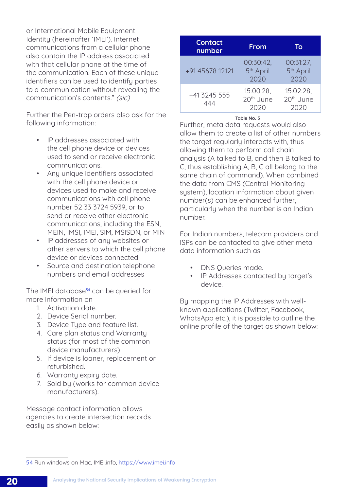or International Mobile Equipment Identity (hereinafter 'IMEI'). Internet communications from a cellular phone also contain the IP address associated with that cellular phone at the time of the communication. Each of these unique identifiers can be used to identifu parties to a communication without revealing the communication's contents." (sic)

Further the Pen-trap orders also ask for the following information:

- IP addresses associated with the cell phone device or devices used to send or receive electronic communications.
- Any unique identifiers associated with the cell phone device or devices used to make and receive communications with cell phone number 52 33 3724 5939, or to send or receive other electronic communications, including the ESN, MEIN, IMSI, IMEI, SIM, MSISDN, or MIN
- IP addresses of any websites or other servers to which the cell phone device or devices connected
- Source and destination telephone numbers and email addresses

The IMEI database<sup>54</sup> can be queried for more information on

- 1. Activation date.
- 2. Device Serial number.
- 3. Device Type and feature list.
- 4. Care plan status and Warranty status (for most of the common device manufacturers)
- 5. If device is loaner, replacement or refurbished.
- 6. Warranty expiry date.
- 7. Sold by (works for common device manufacturers).

Message contact information allows agencies to create intersection records easily as shown below:

| <b>Contact</b><br>number | From                                       | To                                         |
|--------------------------|--------------------------------------------|--------------------------------------------|
| +91 45678 12121          | 00:30:42.<br>5 <sup>th</sup> April<br>2020 | 00:31:27,<br>5 <sup>th</sup> April<br>2020 |
| +41 3245 555<br>444      | 15:00:28.<br>20 <sup>th</sup> June<br>2020 | 15:02:28,<br>20 <sup>th</sup> June<br>2020 |

#### Table No. 5

Further, meta data requests would also allow them to create a list of other numbers the target regularly interacts with, thus allowing them to perform call chain analysis (A talked to B, and then B talked to C, thus establishing A, B, C all belong to the same chain of command). When combined the data from CMS (Central Monitoring system), location information about given number(s) can be enhanced further, particularly when the number is an Indian number.

For Indian numbers, telecom providers and ISPs can be contacted to give other meta data information such as

- DNS Queries made.
- IP Addresses contacted by target's device.

By mapping the IP Addresses with wellknown applications (Twitter, Facebook, WhatsApp etc.), it is possible to outline the online profile of the target as shown below:

<sup>54</sup> Run windows on Mac, IMEI.info, <https://www.imei.info>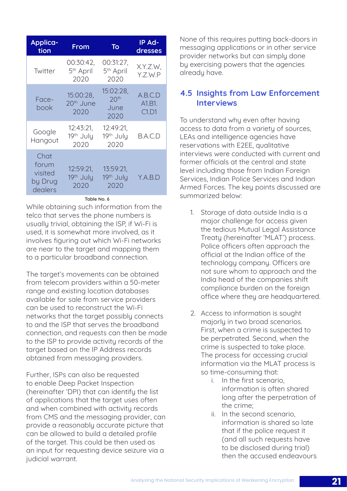<span id="page-28-0"></span>

| <b>Applica-</b><br>tion                        | From                                       | To                                            | IP Ad-<br>dresses          |
|------------------------------------------------|--------------------------------------------|-----------------------------------------------|----------------------------|
| Twitter                                        | 00:30:42,<br>5 <sup>th</sup> April<br>2020 | 00:31:27,<br>5 <sup>th</sup> April<br>2020    | X.Y.Z.W,<br>Y.Z.W.P        |
| Face-<br>book                                  | 15:00:28.<br>20 <sup>th</sup> June<br>2020 | 15:02:28,<br>20 <sup>th</sup><br>June<br>2020 | A.B.C.D<br>A1.B1.<br>C1.D1 |
| Google<br>Hangout                              | 12:43:21,<br>19th July<br>2020             | 12:49:21,<br>19th July<br>2020                | B.A.C.D                    |
| Chat<br>forum<br>visited<br>by Drug<br>dealers | 12:59:21,<br>19th July<br>2020             | 13:59:21,<br>19th July<br>2020                | Y.A.B.D                    |

#### Table No. 6

While obtaining such information from the telco that serves the phone numbers is usually trivial, obtaining the ISP, if Wi-Fi is used, it is somewhat more involved, as it involves figuring out which Wi-Fi networks are near to the target and mapping them to a particular broadband connection.

The target's movements can be obtained from telecom providers within a 50-meter range and existing location databases available for sale from service providers can be used to reconstruct the Wi-Fi networks that the target possibly connects to and the ISP that serves the broadband connection, and requests can then be made to the ISP to provide activity records of the target based on the IP Address records obtained from messaging providers.

Further, ISPs can also be requested to enable Deep Packet Inspection (hereinafter 'DPI) that can identify the list of applications that the target uses often and when combined with activity records from CMS and the messaging provider, can provide a reasonably accurate picture that can be allowed to build a detailed profile of the target. This could be then used as an input for requesting device seizure via a judicial warrant.

None of this requires putting back-doors in messaging applications or in other service provider networks but can simply done by exercising powers that the agencies already have.

### 4.5 Insights from Law Enforcement **Interviews**

To understand why even after having access to data from a variety of sources, LEAs and intelligence agencies have reservations with E2EE, qualitative interviews were conducted with current and former officials at the central and state level including those from Indian Foreign Services, Indian Police Services and Indian Armed Forces. The key points discussed are summarized below:

- 1. Storage of data outside India is a major challenge for access given the tedious Mutual Legal Assistance Treaty (hereinafter 'MLAT') process. Police officers often approach the official at the Indian office of the technology company. Officers are not sure whom to approach and the India head of the companies shift compliance burden on the foreign office where they are headquartered.
- 2. Access to information is sought majorly in two broad scenarios. First, when a crime is suspected to be perpetrated. Second, when the crime is suspected to take place. The process for accessing crucial information via the MLAT process is so time-consuming that:
	- i. In the first scenario, information is often shared long after the perpetration of the crime;
	- ii. In the second scenario, information is shared so late that if the police request it (and all such requests have to be disclosed during trial) then the accused endeavours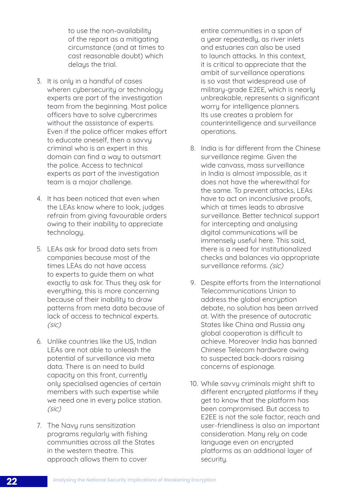to use the non-availability of the report as a mitigating circumstance (and at times to cast reasonable doubt) which delays the trial.

- 3. It is only in a handful of cases wheren cubersecurity or technology experts are part of the investigation team from the beginning. Most police officers have to solve cybercrimes without the assistance of experts. Even if the police officer makes effort to educate oneself, then a savvy criminal who is an expert in this domain can find a way to outsmart the police. Access to technical experts as part of the investigation team is a major challenge.
- 4. It has been noticed that even when the LEAs know where to look, judges refrain from giving favourable orders owing to their inability to appreciate technology.
- 5. LEAs ask for broad data sets from companies because most of the times LEAs do not have access to experts to guide them on what exactly to ask for. Thus they ask for everything, this is more concerning because of their inability to draw patterns from meta data because of lack of access to technical experts. (sic)
- 6. Unlike countries like the US, Indian LEAs are not able to unleash the potential of surveillance via meta data. There is an need to build capacity on this front, currently only specialised agencies of certain members with such expertise while we need one in every police station. (sic)
- 7. The Navy runs sensitization programs regularly with fishing communities across all the States in the western theatre. This approach allows them to cover

entire communities in a span of a year repeatedly, as river inlets and estuaries can also be used to launch attacks. In this context, it is critical to appreciate that the ambit of surveillance operations is so vast that widespread use of military-grade E2EE, which is nearly unbreakable, represents a significant worry for intelligence planners. Its use creates a problem for counterintelligence and surveillance operations.

- 8. India is far different from the Chinese surveillance regime. Given the wide canvass, mass surveillance in India is almost impossible, as it does not have the wherewithal for the same. To prevent attacks, LEAs have to act on inconclusive proofs, which at times leads to abrasive surveillance. Better technical support for intercepting and analysing digital communications will be immensely useful here. This said, there is a need for institutionalized checks and balances via appropriate surveillance reforms. (sic)
- 9. Despite efforts from the International Telecommunications Union to address the global encryption debate, no solution has been arrived at. With the presence of autocratic States like China and Russia any global cooperation is difficult to achieve. Moreover India has banned Chinese Telecom hardware owing to suspected back-doors raising concerns of espionage.
- 10. While savvy criminals might shift to different encrypted platforms if they get to know that the platform has been compromised. But access to E2EE is not the sole factor, reach and user-friendliness is also an important consideration. Many rely on code language even on encrypted platforms as an additional layer of security.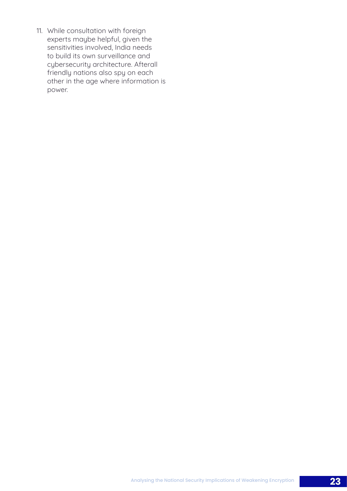11. While consultation with foreign experts maybe helpful, given the sensitivities involved, India needs to build its own surveillance and cybersecurity architecture. Afterall friendly nations also spy on each other in the age where information is power.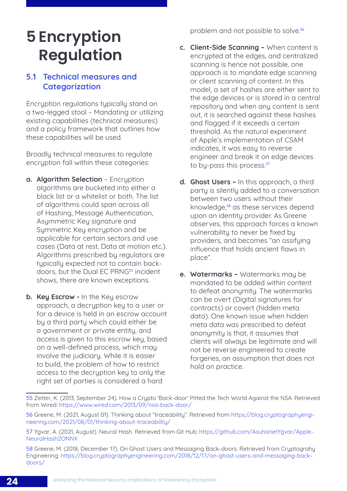## <span id="page-31-0"></span>**5 Encryption Regulation**

## 5.1 Technical measures and **Categorization**

Encryption regulations typically stand on a two-legged stool – Mandating or utilizing existing capabilities (technical measures) and a policy framework that outlines how these capabilities will be used.

Broadly technical measures to regulate encryption fall within these categories:

- a. Algorithm Selection Encryption algorithms are bucketed into either a black list or a whitelist or both. The list of algorithms could span across all of Hashing, Message Authentication, Asymmetric Key signature and Symmetric Key encryption and be applicable for certain sectors and use cases (Data at rest, Data at motion etc.). Algorithms prescribed by regulators are typically expected not to contain backdoors, but the Dual FC PRNG<sup>55</sup> incident shows, there are known exceptions.
- b. Key Escrow In the Key escrow approach, a decryption key to a user or for a device is held in an escrow account by a third party which could either be a government or private entity, and access is given to this escrow key, based on a well-defined process, which may involve the judiciary. While it is easier to build, the problem of how to restrict access to the decryption key to only the right set of parties is considered a hard

problem and not possible to solve.<sup>56</sup>

- c. Client-Side Scanning When content is encrypted at the edges, and centralized scanning is hence not possible, one approach is to mandate edge scanning or client scanning of content. In this model, a set of hashes are either sent to the edge devices or is stored in a central repository and when any content is sent out, it is searched against these hashes and flagged if it exceeds a certain threshold. As the natural experiment of Apple's implementation of CSAM indicates, it was easy to reverse engineer and break it on edge devices to bu-pass this process.<sup>57</sup>
- d. Ghost Users In this approach, a third party is silently added to a conversation between two users without their knowledge,<sup>58</sup> as these services depend upon an identity provider. As Greene observes, this approach forces a known vulnerability to never be fixed by providers, and becomes "an ossifying influence that holds ancient flaws in place".
- e. Watermarks Watermarks may be mandated to be added within content to defeat anonymity. The watermarks can be overt (Digital signatures for contracts) or covert (hidden meta data). One known issue when hidden meta data was prescribed to defeat anonymity is that, it assumes that clients will always be legitimate and will not be reverse engineered to create forgeries, an assumption that does not hold on practice.

<sup>55</sup> Zetter, K. (2013, September 24). How a Crypto 'Back-door' Pitted the Tech World Against the NSA. Retrieved from Wired: [https://www.wired.com/2013/09/nsa-back-door/](https://www.wired.com/2013/09/nsa-backdoor/)

<sup>56</sup> Greene, M. (2021, August 01). Thinking about "traceability". Retrieved from [https://blog.cryptographyengi](https://blog.cryptographyengineering.com/2021/08/01/thinking-about-traceability/)[neering.com/2021/08/01/thinking-about-traceability/](https://blog.cryptographyengineering.com/2021/08/01/thinking-about-traceability/)

<sup>57</sup> Ygvar, A. (2021, August). Neural Hash. Retrieved from Git Hub: [https://github.com/AsuharietYgvar/Apple-](https://github.com/AsuharietYgvar/AppleNeuralHash2ONNX)[NeuralHash2ONNX](https://github.com/AsuharietYgvar/AppleNeuralHash2ONNX)

<sup>58</sup> Greene, M. (2018, December 17). On Ghost Users and Messaging Back-doors. Retrieved from Cryptograhy Engineering: [https://blog.cryptographyengineering.com/2018/12/17/on-ghost-users-and-messaging-back](https://blog.cryptographyengineering.com/2018/12/17/on-ghost-users-and-messaging-backdoors/)[doors/](https://blog.cryptographyengineering.com/2018/12/17/on-ghost-users-and-messaging-backdoors/)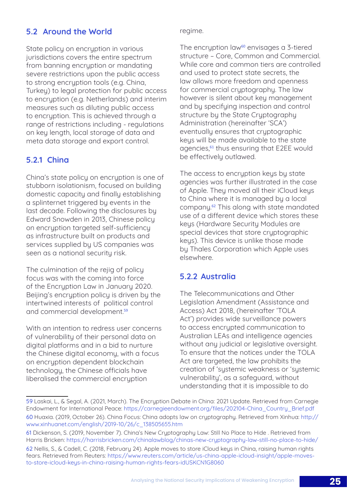## <span id="page-32-0"></span>5.2 Around the World

State policy on encryption in various jurisdictions covers the entire spectrum from banning encryption or mandating severe restrictions upon the public access to strong encryption tools (e.g. China, Turkey) to legal protection for public access to encruption (e.g. Netherlands) and interim measures such as diluting public access to encryption. This is achieved through a range of restrictions including - regulations on key length, local storage of data and meta data storage and export control.

## 5.2.1 China

China's state policy on encryption is one of stubborn isolationism, focused on building domestic capacity and finally establishing a splinternet triggered by events in the last decade. Following the disclosures by Edward Snowden in 2013, Chinese policy on encryption targeted self-sufficiency as infrastructure built on products and services supplied by US companies was seen as a national security risk.

The culmination of the rejig of policy focus was with the coming into force of the Encryption Law in January 2020. Beijing's encryption policy is driven by the intertwined interests of political control and commercial development.<sup>59</sup>

With an intention to redress user concerns of vulnerability of their personal data on digital platforms and in a bid to nurture the Chinese digital economy, with a focus on encryption dependent blockchain technology, the Chinese officials have liberalised the commercial encryption

regime.

The encryption law<sup>60</sup> envisages a 3-tiered structure – Core, Common and Commercial. While core and common tiers are controlled and used to protect state secrets, the law allows more freedom and openness for commercial cryptography. The law however is silent about key management and by specifying inspection and control structure by the State Cryptography Administration (hereinafter 'SCA') eventually ensures that cryptographic keys will be made available to the state agencies,<sup>61</sup> thus ensuring that E2EE would be effectively outlawed.

The access to encryption keys by state agencies was further illustrated in the case of Apple. They moved all their iCloud keys to China where it is managed by a local company.62 This along with state mandated use of a different device which stores these keys (Hardware Security Modules are special devices that store cryptographic keys). This device is unlike those made by Thales Corporation which Apple uses elsewhere.

## 5.2.2 Australia

The Telecommunications and Other Legislation Amendment (Assistance and Access) Act 2018, (hereinafter 'TOLA Act') provides wide surveillance powers to access encrypted communication to Australian LEAs and intelligence agencies without any judicial or legislative oversight. To ensure that the notices under the TOLA Act are targeted, the law prohibits the creation of 'systemic weakness or 'systemic vulnerability', as a safeguard, without understanding that it is impossible to do

<sup>59</sup> Laskai, L., & Segal, A. (2021, March). The Encryption Debate in China: 2021 Update. Retrieved from Carnegie Endowment for International Peace: [https://carnegieendowment.org/files/202104-China\\_Country\\_Brief.pdf](https://carnegieendowment.org/files/202104-China_Country_Brief.pdf)

<sup>60</sup> Huaxia. (2019, October 26). China Focus: China adopts law on cryptography. Retrieved from Xinhua: [http://](http://www.xinhuanet.com/english/2019-10/26/c_138505655.htm) [www.xinhuanet.com/english/2019-10/26/c\\_138505655.htm](http://www.xinhuanet.com/english/2019-10/26/c_138505655.htm)

<sup>61</sup> Dickenson, S. (2019, November 7). China's New Cryptography Law: Still No Place to Hide . Retrieved from Harris Bricken:<https://harrisbricken.com/chinalawblog/chinas-new-cryptography-law-still-no-place-to-hide/>

<sup>62</sup> Nellis, S., & Cadell, C. (2018, February 24). Apple moves to store iCloud keys in China, raising human rights fears. Retrieved from Reuters: [https://www.reuters.com/article/us-china-apple-icloud-insight/apple-moves](https://www.reuters.com/article/us-china-apple-icloud-insight/apple-moves-to-store-icloud-keys-in-china-raising-human-rights-fears-idUSKCN1G8060)[to-store-icloud-keys-in-china-raising-human-rights-fears-idUSKCN1G8060](https://www.reuters.com/article/us-china-apple-icloud-insight/apple-moves-to-store-icloud-keys-in-china-raising-human-rights-fears-idUSKCN1G8060)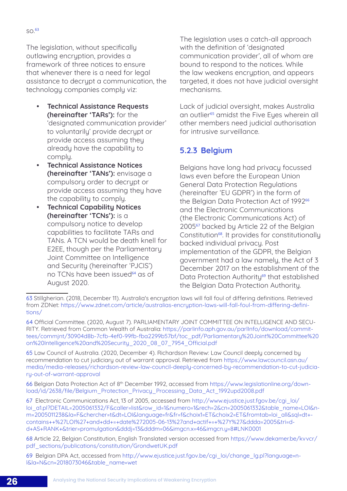<span id="page-33-0"></span>The legislation, without specifically outlawing encryption, provides a framework of three notices to ensure that whenever there is a need for legal assistance to decrupt a communication, the technology companies comply viz:

- **Technical Assistance Requests** (hereinafter 'TARs'): for the 'designated communication provider' to voluntarily' provide decrypt or provide access assuming they already have the capability to comply.
- **Technical Assistance Notices** (hereinafter 'TANs'): envisage a compulsory order to decrypt or provide access assuming they have the capability to comply.
- **Technical Capability Notices** (hereinafter 'TCNs'): is a compulsory notice to develop capabilities to facilitate TARs and TANs. A TCN would be death knell for E2EE, though per the Parliamentary Joint Committee on Intelligence and Security (hereinafter 'PJCIS') no TCNs have been issued<sup>64</sup> as of August 2020.

The legislation uses a catch-all approach with the definition of 'designated communication provider', all of whom are bound to respond to the notices. While the law weakens encryption, and appears targeted, it does not have judicial oversight mechanisms.

Lack of judicial oversight, makes Australia an outlier<sup>65</sup> amidst the Five Eyes wherein all other members need judicial authorisation for intrusive surveillance.

## 5.2.3 Belgium

Belgians have long had privacy focussed laws even before the European Union General Data Protection Regulations (hereinafter 'EU GDPR') in the form of the Belgian Data Protection Act of 1992<sup>66</sup> and the Electronic Communications (the Electronic Communications Act) of 2005<sup>67</sup> backed by Article 22 of the Belgian Constitution<sup>68</sup>. It provides for constitutionally backed individual privacy. Post implementation of the GDPR, the Belgian government had a law namely, the Act of 3 December 2017 on the establishment of the Data Protection Authoritu<sup>69</sup> that established the Belgian Data Protection Authority.

65 Law Council of Australia. (2020, December 4). Richardson Review: Law Council deeply concerned by recommendation to cut judiciary out of warrant approval. Retrieved from [https://www.lawcouncil.asn.au/](https://www.lawcouncil.asn.au/media/media-releases/richardson-review-law-council-deeply-concerned-by-recommendation-to-cut-judiciary-out-of-warrant-approval) [media/media-releases/richardson-review-law-council-deeply-concerned-by-recommendation-to-cut-judicia](https://www.lawcouncil.asn.au/media/media-releases/richardson-review-law-council-deeply-concerned-by-recommendation-to-cut-judiciary-out-of-warrant-approval)[ry-out-of-warrant-approval](https://www.lawcouncil.asn.au/media/media-releases/richardson-review-law-council-deeply-concerned-by-recommendation-to-cut-judiciary-out-of-warrant-approval)

66 Belgian Data Protection Act of 8th December 1992, accessed from [https://www.legislationline.org/down](https://www.legislationline.org/download/id/2638/file/Belgium_Protection_Privacy_Processing_Data_Act_1992upd2008.pdf)[load/id/2638/file/Belgium\\_Protection\\_Privacy\\_Processing\\_Data\\_Act\\_1992upd2008.pdf](https://www.legislationline.org/download/id/2638/file/Belgium_Protection_Privacy_Processing_Data_Act_1992upd2008.pdf)

67 Electronic Communications Act, 13 of 2005, accessed from http://www.ejustice.just.fgov.be/cgi\_loi/ loi\_a1.pl?DETAIL=2005061332/F&caller=list&row\_id=1&numero=1&rech=2&cn=2005061332&table\_name=LOI&nm=2005011238&la=F&chercher=t&dt=LOI&language=fr&fr=f&choix1=ET&choix2=ET&fromtab=loi\_all&sql=dt+ contains++%27LOI%27+and+dd+=+date%272005-06-13%27and+actif+=+%27Y%27&ddda=2005&tri=dd+AS+RANK+&trier=promulgation&dddj=13&dddm=06&imgcn.x=46&imgcn.y=8#LNK0001

68 Article 22, Belgian Constitution, English Translated version accessed from [https://www.dekamer.be/kvvcr/](https://www.dekamer.be/kvvcr/pdf_sections/publications/constitution/GrondwetUK.pdf) [pdf\\_sections/publications/constitution/GrondwetUK.pdf](https://www.dekamer.be/kvvcr/pdf_sections/publications/constitution/GrondwetUK.pdf)

69 Belgian DPA Act, accessed from [http://www.ejustice.just.fgov.be/cgi\\_loi/change\\_lg.pl?language=n](http://www.ejustice.just.fgov.be/cgi_loi/change_lg.pl?language=nl&la=N&cn=2018073046&table_name=wet)[l&la=N&cn=2018073046&table\\_name=wet](http://www.ejustice.just.fgov.be/cgi_loi/change_lg.pl?language=nl&la=N&cn=2018073046&table_name=wet)

<sup>63</sup> Stillgherian. (2018, December 11). Australia's encryption laws will fall foul of differing definitions. Retrieved from ZDNet: [https://www.zdnet.com/article/australias-encryption-laws-will-fall-foul-from-differing-defini](https://www.zdnet.com/article/australias-encryption-laws-will-fall-foul-from-differing-definitions/)[tions/](https://www.zdnet.com/article/australias-encryption-laws-will-fall-foul-from-differing-definitions/)

<sup>64</sup> Official Committee. (2020, August 7). PARLIAMENTARY JOINT COMMITTEE ON INTELLIGENCE AND SECU-RITY. Retrieved from Common Wealth of Australia: [https://parlinfo.aph.gov.au/parlInfo/download/commit](https://parlinfo.aph.gov.au/parlInfo/download/committees/commjnt/30904d8b-7cfb-4ef0-99fb-fba2299b57bf/toc_pdf/Parliamentary%20Joint%20Committee%20on%20Intelligence%20and%20Security_2020_08_07_7954_Official.pdf)[tees/commjnt/30904d8b-7cfb-4ef0-99fb-fba2299b57bf/toc\\_pdf/Parliamentary%20Joint%20Committee%20](https://parlinfo.aph.gov.au/parlInfo/download/committees/commjnt/30904d8b-7cfb-4ef0-99fb-fba2299b57bf/toc_pdf/Parliamentary%20Joint%20Committee%20on%20Intelligence%20and%20Security_2020_08_07_7954_Official.pdf) [on%20Intelligence%20and%20Security\\_2020\\_08\\_07\\_7954\\_Official.pdf](https://parlinfo.aph.gov.au/parlInfo/download/committees/commjnt/30904d8b-7cfb-4ef0-99fb-fba2299b57bf/toc_pdf/Parliamentary%20Joint%20Committee%20on%20Intelligence%20and%20Security_2020_08_07_7954_Official.pdf)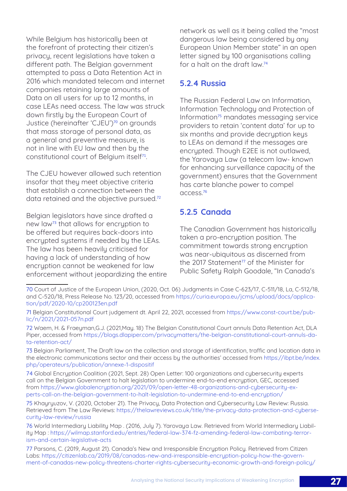<span id="page-34-0"></span>While Belgium has historically been at the forefront of protecting their citizen's privacy, recent legislations have taken a different path. The Belgian government attempted to pass a Data Retention Act in 2016 which mandated telecom and internet companies retaining large amounts of Data on all users for up to 12 months, in case LEAs need access. The law was struck down firstly by the European Court of Justice (hereinafter 'CJEU')<sup>70</sup> on grounds that mass storage of personal data, as a general and preventive measure, is not in line with EU law and then by the constitutional court of Belgium itself<sup>71</sup>.

The CJEU however allowed such retention insofar that they meet objective criteria that establish a connection between the data retained and the objective pursued.<sup>72</sup>

Belgian legislators have since drafted a new law<sup>73</sup> that allows for encruption to be offered but requires back-doors into encrypted systems if needed by the LEAs. The law has been heavily criticised for having a lack of understanding of how encryption cannot be weakened for law enforcement without jeopardizing the entire

network as well as it being called the "most dangerous law being considered by any European Union Member state" in an open letter signed by 100 organisations calling for a halt on the draft law.<sup>74</sup>

### 5.2.4 Russia

The Russian Federal Law on Information, Information Technology and Protection of Information<sup>75</sup> mandates messaging service providers to retain 'content data' for up to six months and provide decryption keys to LEAs on demand if the messages are encrypted. Though E2EE is not outlawed, the Yarovaya Law (a telecom law- known for enhancing surveillance capacity of the government) ensures that the Government has carte blanche power to compel access.<sup>76</sup>

## 5.2.5 Canada

The Canadian Government has historically taken a pro-encryption position. The commitment towards strong encryption was near-ubiquitous as discerned from the 2017 Statement<sup>77</sup> of the Minister for Public Safety Ralph Goodale, "In Canada's

<sup>70</sup> Court of Justice of the European Union, (2020, Oct. 06) Judgments in Case C-623/17, C-511/18, La, C-512/18, and C-520/18, Press Release No. 123/20, accessed from [https://curia.europa.eu/jcms/upload/docs/applica](https://curia.europa.eu/jcms/upload/docs/application/pdf/2020-10/cp200123en.pdf)[tion/pdf/2020-10/cp200123en.pdf](https://curia.europa.eu/jcms/upload/docs/application/pdf/2020-10/cp200123en.pdf)

<sup>71</sup> Belgian Constitutional Court judgement dt. April 22, 2021, accessed from [https://www.const-court.be/pub](https://www.const-court.be/public/n/2021/2021-057n.pdf)[lic/n/2021/2021-057n.pdf](https://www.const-court.be/public/n/2021/2021-057n.pdf)

<sup>72</sup> Waem, H. & Fraeyman,G.J. (2021,May. 18) The Belgian Constitutional Court annuls Data Retention Act, DLA Piper, accessed from [https://blogs.dlapiper.com/privacymatters/the-belgian-constitutional-court-annuls-da](https://blogs.dlapiper.com/privacymatters/the-belgian-constitutional-court-annuls-data-retention-act/)[ta-retention-act/](https://blogs.dlapiper.com/privacymatters/the-belgian-constitutional-court-annuls-data-retention-act/)

<sup>73</sup> Belgian Parliament, The Draft law on the collection and storage of identification, traffic and location data in the electronic communications sector and their access by the authorities' accessed from [https://ibpt.be/index.](https://ibpt.be/index.php/operateurs/publication/annexe-1-dispositif) [php/operateurs/publication/annexe-1-dispositif](https://ibpt.be/index.php/operateurs/publication/annexe-1-dispositif)

<sup>74</sup> Global Encryption Coalition (2021, Sept. 28) Open Letter: 100 organizations and cybersecurity experts call on the Belgian Government to halt legislation to undermine end-to-end encryption, GEC, accessed from [https://www.globalencryption.org/2021/09/open-letter-48-organizations-and-cybersecurity-ex](https://www.globalencryption.org/2021/09/open-letter-48-organizations-and-cybersecurity-experts-call-on-the-belgian-government-to-halt-legislation-to-undermine-end-to-end-encryption/)[perts-call-on-the-belgian-government-to-halt-legislation-to-undermine-end-to-end-encryption/](https://www.globalencryption.org/2021/09/open-letter-48-organizations-and-cybersecurity-experts-call-on-the-belgian-government-to-halt-legislation-to-undermine-end-to-end-encryption/)

<sup>75</sup> Khayryuzov, V. (2020, October 21). The Privacy, Data Protection and Cybersecurity Law Review: Russia. Retrieved from The Law Reviews: [https://thelawreviews.co.uk/title/the-privacy-data-protection-and-cyberse](https://thelawreviews.co.uk/title/the-privacy-data-protection-and-cybersecurity-law-review/russia)[curity-law-review/russia](https://thelawreviews.co.uk/title/the-privacy-data-protection-and-cybersecurity-law-review/russia)

<sup>76</sup> World Intermediary Liability Map . (2016, July 7). Yarovaya Law. Retrieved from World Intermediary Liability Map : [https://wilmap.stanford.edu/entries/federal-law-374-fz-amending-federal-law-combating-terror](https://wilmap.stanford.edu/entries/federal-law-374-fz-amending-federal-law-combating-terrorism-and-certain-legislative-acts)[ism-and-certain-legislative-acts](https://wilmap.stanford.edu/entries/federal-law-374-fz-amending-federal-law-combating-terrorism-and-certain-legislative-acts)

<sup>77</sup> Parsons, C. (2019, August 21). Canada's New and Irresponsible Encryption Policy. Retrieved from Citizen Labs: [https://citizenlab.ca/2019/08/canadas-new-and-irresponsible-encryption-policy-how-the-govern](https://citizenlab.ca/2019/08/canadas-new-and-irresponsible-encryption-policy-how-the-government-of-canadas-new-policy-threatens-charter-rights-cybersecurity-economic-growth-and-foreign-policy/)[ment-of-canadas-new-policy-threatens-charter-rights-cybersecurity-economic-growth-and-foreign-policy/](https://citizenlab.ca/2019/08/canadas-new-and-irresponsible-encryption-policy-how-the-government-of-canadas-new-policy-threatens-charter-rights-cybersecurity-economic-growth-and-foreign-policy/)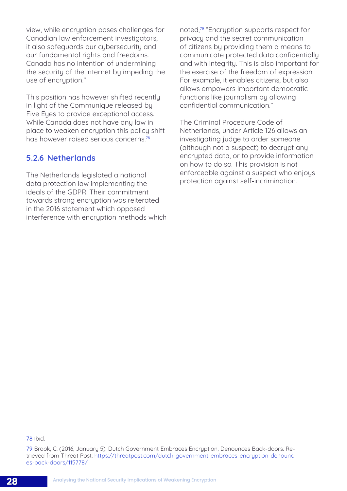<span id="page-35-0"></span>view, while encryption poses challenges for Canadian law enforcement investigators, it also safeguards our cybersecurity and our fundamental rights and freedoms. Canada has no intention of undermining the security of the internet by impeding the use of encruption."

This position has however shifted recently in light of the Communique released by Five Eyes to provide exceptional access. While Canada does not have any law in place to weaken encryption this policy shift has however raised serious concerns.<sup>78</sup>

## 5.2.6 Netherlands

The Netherlands legislated a national data protection law implementing the ideals of the GDPR. Their commitment towards strong encryption was reiterated in the 2016 statement which opposed interference with encruption methods which noted,<sup>79</sup> "Encryption supports respect for privacy and the secret communication of citizens by providing them a means to communicate protected data confidentially and with integrity. This is also important for the exercise of the freedom of expression. For example, it enables citizens, but also allows empowers important democratic functions like journalism by allowing confidential communication."

The Criminal Procedure Code of Netherlands, under Article 126 allows an investigating judge to order someone (although not a suspect) to decrypt any encrypted data, or to provide information on how to do so. This provision is not enforceable against a suspect who enjoys protection against self-incrimination.

#### 78 Ibid.

<sup>79</sup> Brook, C. (2016, January 5). Dutch Government Embraces Encryption, Denounces Back-doors. Retrieved from Threat Post: [https://threatpost.com/dutch-government-embraces-encryption-denounc](https://threatpost.com/dutch-government-embraces-encryption-denounces-backdoors/115778/)[es-back-doors/115778/](https://threatpost.com/dutch-government-embraces-encryption-denounces-backdoors/115778/)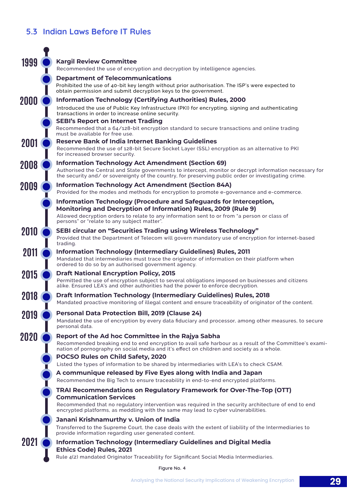## <span id="page-36-0"></span>5.3 Indian Laws Before IT Rules

| 1999 | <b>Kargil Review Committee</b>                                                                                                                                                                                  |
|------|-----------------------------------------------------------------------------------------------------------------------------------------------------------------------------------------------------------------|
|      | Recommended the use of encryption and decryption by intelligence agencies.                                                                                                                                      |
|      | <b>Department of Telecommunications</b>                                                                                                                                                                         |
|      | Prohibited the use of 40-bit key length without prior authorisation. The ISP's were expected to<br>obtain permission and submit decryption keys to the government.                                              |
| 2000 | <b>Information Technology (Certifying Authorities) Rules, 2000</b>                                                                                                                                              |
|      | Introduced the use of Public Key Infrastructure (PKI) for encrypting, signing and authenticating<br>transactions in order to increase online security.                                                          |
|      | <b>SEBI's Report on Internet Trading</b>                                                                                                                                                                        |
|      | Recommended that a 64/128-bit encryption standard to secure transactions and online trading<br>must be available for free use.                                                                                  |
| 2001 | <b>Reserve Bank of India Internet Banking Guidelines</b>                                                                                                                                                        |
|      | Recommended the use of 128-bit Secure Socket Layer (SSL) encryption as an alternative to PKI<br>for increased browser security.                                                                                 |
| 2008 | <b>Information Technology Act Amendment (Section 69)</b>                                                                                                                                                        |
|      | Authorised the Central and State governments to intercept, monitor or decrypt information necessary for<br>the security and/ or sovereignty of the country, for preserving public order or investigating crime. |
| 2009 | <b>Information Technology Act Amendment (Section 84A)</b>                                                                                                                                                       |
|      | Provided for the modes and methods for encryption to promote e-governance and e-commerce.                                                                                                                       |
|      | Information Technology (Procedure and Safeguards for Interception,<br><b>Monitoring and Decryption of Information) Rules, 2009 (Rule 9)</b>                                                                     |
|      | Allowed decryption orders to relate to any information sent to or from "a person or class of<br>persons" or "relate to any subject matter".                                                                     |
| 2010 | <b>SEBI circular on "Securities Trading using Wireless Technology"</b>                                                                                                                                          |
|      | Provided that the Department of Telecom will govern mandatory use of encryption for internet-based<br>trading.                                                                                                  |
| 2011 | <b>Information Technology (Intermediary Guidelines) Rules, 2011</b>                                                                                                                                             |
|      | Mandated that intermediaries must trace the originator of information on their platform when<br>ordered to do so by an authorised government agency.                                                            |
| 2015 | <b>Draft National Encryption Policy, 2015</b>                                                                                                                                                                   |
|      | Permitted the use of encryption subject to several obligations imposed on businesses and citizens<br>alike. Ensured LEA's and other authorities had the power to enforce decryption.                            |
| 2018 | <b>Draft Information Technology (Intermediary Guidelines) Rules, 2018</b>                                                                                                                                       |
|      | Mandated proactive monitoring of illegal content and ensure traceability of originator of the content.                                                                                                          |
| 2019 | <b>Personal Data Protection Bill, 2019 (Clause 24)</b><br>Mandated the use of encryption by every data fiduciary and processor, among other measures, to secure                                                 |
|      | personal data.                                                                                                                                                                                                  |
| 2020 | Report of the Ad hoc Committee in the Rajya Sabha                                                                                                                                                               |
|      | Recommended breaking end to end encryption to avail safe harbour as a result of the Committee's exami-<br>nation of pornography on social media and it's effect on children and society as a whole.             |
|      | <b>POCSO Rules on Child Safety, 2020</b>                                                                                                                                                                        |
|      | Listed the types of information to be shared by intermediaries with LEA's to check CSAM.                                                                                                                        |
|      | A communique released by Five Eyes along with India and Japan<br>Recommended the Big Tech to ensure traceability in end-to-end encrypted platforms.                                                             |
|      | TRAI Recommendations on Regulatory Framework for Over-The-Top (OTT)                                                                                                                                             |
|      | <b>Communication Services</b>                                                                                                                                                                                   |
|      | Recommended that no regulatory intervention was required in the security architecture of end to end<br>encrypted platforms, as meddling with the same may lead to cyber vulnerabilities.                        |
|      | Janani Krishnamurthy v. Union of India                                                                                                                                                                          |
|      | Transferred to the Supreme Court, the case deals with the extent of liability of the Intermediaries to<br>provide information regarding user generated content.                                                 |
| 2021 | <b>Information Technology (Intermediary Guidelines and Digital Media</b><br><b>Ethics Code) Rules, 2021</b><br>Rule 4(2) mandated Originator Traceability for Significant Social Media Intermediaries.          |
|      |                                                                                                                                                                                                                 |

Figure No. 4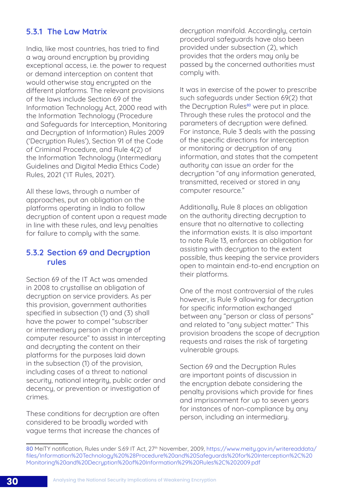## <span id="page-37-0"></span>5.3.1 The Law Matrix

India, like most countries, has tried to find a way around encryption by providing exceptional access, i.e. the power to request or demand interception on content that would otherwise stay encrypted on the different platforms. The relevant provisions of the laws include Section 69 of the Information Technology Act, 2000 read with the Information Technology (Procedure and Safeguards for Interception, Monitoring and Decryption of Information) Rules 2009 ('Decryption Rules'), Section 91 of the Code of Criminal Procedure, and Rule 4(2) of the Information Technology (Intermediary Guidelines and Digital Media Ethics Code) Rules, 2021 ('IT Rules, 2021').

All these laws, through a number of approaches, put an obligation on the platforms operating in India to follow decruption of content upon a request made in line with these rules, and levy penalties for failure to comply with the same.

## 5.3.2 Section 69 and Decryption rules

Section 69 of the IT Act was amended in 2008 to crystallise an obligation of decryption on service providers. As per this provision, government authorities specified in subsection (1) and (3) shall have the power to compel "subscriber or intermediary person in charge of computer resource" to assist in intercepting and decrypting the content on their platforms for the purposes laid down in the subsection (1) of the provision, including cases of a threat to national security, national integrity, public order and decency, or prevention or investigation of crimes.

These conditions for decryption are often considered to be broadly worded with vague terms that increase the chances of decryption manifold. Accordingly, certain procedural safeguards have also been provided under subsection (2), which provides that the orders may only be passed by the concerned authorities must comply with.

It was in exercise of the power to prescribe such safeguards under Section 69(2) that the Decryption Rules<sup>80</sup> were put in place. Through these rules the protocol and the parameters of decryption were defined. For instance, Rule 3 deals with the passing of the specific directions for interception or monitoring or decryption of any information, and states that the competent authority can issue an order for the decryption "of any information generated, transmitted, received or stored in any computer resource."

Additionally, Rule 8 places an obligation on the authority directing decryption to ensure that no alternative to collecting the information exists. It is also important to note Rule 13, enforces an obligation for assisting with decryption to the extent possible, thus keeping the service providers open to maintain end-to-end encryption on their platforms.

One of the most controversial of the rules however, is Rule 9 allowing for decryption for specific information exchanged between any "person or class of persons" and related to "any subject matter." This provision broadens the scope of decryption requests and raises the risk of targeting vulnerable groups.

Section 69 and the Decruption Rules are important points of discussion in the encryption debate considering the penalty provisions which provide for fines and imprisonment for up to seven years for instances of non-compliance by any person, including an intermediary.

<sup>80</sup> MeiTY notification, Rules under S.69 IT Act, 27<sup>th</sup> November, 2009, [https://www.meity.gov.in/writereaddata/](https://www.meity.gov.in/writereaddata/files/Information%20Technology%20%28Procedure%20and%20Safeguards%20for%20Interception%2C%20Monitoring%20and%20Decryption%20of%20Information%29%20Rules%2C%202009.pdf) [files/Information%20Technology%20%28Procedure%20and%20Safeguards%20for%20Interception%2C%20](https://www.meity.gov.in/writereaddata/files/Information%20Technology%20%28Procedure%20and%20Safeguards%20for%20Interception%2C%20Monitoring%20and%20Decryption%20of%20Information%29%20Rules%2C%202009.pdf) [Monitoring%20and%20Decryption%20of%20Information%29%20Rules%2C%202009.pdf](https://www.meity.gov.in/writereaddata/files/Information%20Technology%20%28Procedure%20and%20Safeguards%20for%20Interception%2C%20Monitoring%20and%20Decryption%20of%20Information%29%20Rules%2C%202009.pdf)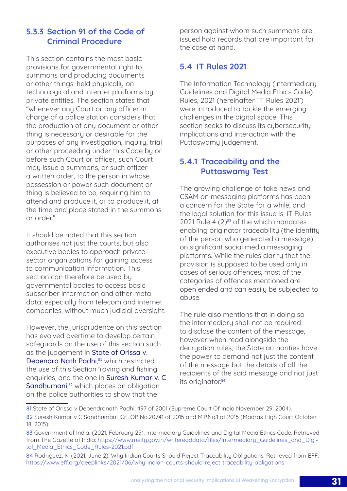## <span id="page-38-0"></span>5.3.3 Section 91 of the Code of Criminal Procedure

This section contains the most basic provisions for governmental right to summons and producing documents or other things, held physically on technological and internet platforms by private entities. The section states that "whenever any Court or any officer in charge of a police station considers that the production of any document or other thing is necessary or desirable for the purposes of any investigation, inquiry, trial or other proceeding under this Code by or before such Court or officer, such Court may issue a summons, or such officer a written order, to the person in whose possession or power such document or thing is believed to be, requiring him to attend and produce it, or to produce it, at the time and place stated in the summons or order."

It should be noted that this section authorises not just the courts, but also executive bodies to approach privatesector organizations for gaining access to communication information. This section can therefore be used by governmental bodies to access basic subscriber information and other meta data, especially from telecom and internet companies, without much judicial oversight.

However, the jurisprudence on this section has evolved overtime to develop certain safeguards on the use of this section such as the judgement in State of Orissa v. Debendra Nath Padhi,<sup>81</sup> which restricted the use of this Section 'roving and fishing' enquiries, and the one in Suresh Kumar v. C Sandhumani,<sup>82</sup> which places an obligation on the police authorities to show that the

person against whom such summons are issued hold records that are important for the case at hand.

## 5.4 IT Rules 2021

The Information Technology (Intermediary Guidelines and Digital Media Ethics Code) Rules, 2021 (hereinafter 'IT Rules 2021') were introduced to tackle the emerging challenges in the digital space. This section seeks to discuss its cybersecurity implications and interaction with the Puttaswamy judgement.

## 5.4.1 Traceability and the Puttaswamy Test

The growing challenge of fake news and CSAM on messaging platforms has been a concern for the State for a while, and the legal solution for this issue is, IT Rules 2021 Rule  $4(2)^{83}$  of the which mandates enabling originator traceability (the identity of the person who generated a message) on significant social media messaging platforms. While the rules clarify that the provision is supposed to be used only in cases of serious offences, most of the categories of offences mentioned are open ended and can easily be subjected to abuse.

The rule also mentions that in doing so the intermediary shall not be required to disclose the content of the message, however when read alongside the decruption rules, the State authorities have the power to demand not just the content of the message but the details of all the recipients of the said message and not just its originator.<sup>84</sup>

<sup>81</sup> State of Orissa v Debendranath Padhi, 497 of 2001 (Supreme Court Of India November 29, 2004).

<sup>82</sup> Suresh Kumar v C Sandhumani, Crl. OP No.20741 of 2015 and M.P.No.1 of 2015 (Madras High Court October 18, 2015).

<sup>83</sup> Government of India. (2021, February 25). Intermediary Guidelines and Digital Media Ethics Code. Retrieved from The Gazette of India: [https://www.meity.gov.in/writereaddata/files/Intermediary\\_Guidelines\\_and\\_Digi](https://www.meity.gov.in/writereaddata/files/Intermediary_Guidelines_and_Digital_Media_Ethics_Code_Rules-2021.pdf)[tal\\_Media\\_Ethics\\_Code\\_Rules-2021.pdf](https://www.meity.gov.in/writereaddata/files/Intermediary_Guidelines_and_Digital_Media_Ethics_Code_Rules-2021.pdf)

<sup>84</sup> Rodriguez, K. (2021, June 2). Why Indian Courts Should Reject Traceability Obligations. Retrieved from EFF: <https://www.eff.org/deeplinks/2021/06/why-indian-courts-should-reject-traceability-obligations>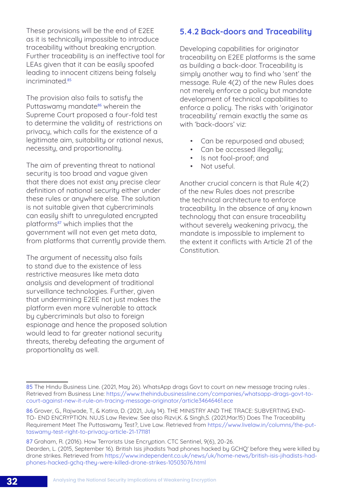<span id="page-39-0"></span>These provisions will be the end of E2EE as it is technically impossible to introduce traceability without breaking encryption. Further traceability is an ineffective tool for LEAs given that it can be easily spoofed leading to innocent citizens being falsely incriminated<sup>85</sup>

The provision also fails to satisfy the Puttaswamy mandate<sup>86</sup> wherein the Supreme Court proposed a four-fold test to determine the validity of restrictions on privacy, which calls for the existence of a legitimate aim, suitability or rational nexus, necessity, and proportionality.

The aim of preventing threat to national security is too broad and vague given that there does not exist any precise clear definition of national security either under these rules or anywhere else. The solution is not suitable given that cybercriminals can easily shift to unregulated encrypted platforms<sup>87</sup> which implies that the government will not even get meta data, from platforms that currently provide them.

The argument of necessity also fails to stand due to the existence of less restrictive measures like meta data analysis and development of traditional surveillance technologies. Further, given that undermining E2EE not just makes the platform even more vulnerable to attack by cybercriminals but also to foreign espionage and hence the proposed solution would lead to far greater national security threats, thereby defeating the argument of proportionality as well.

### 5.4.2 Back-doors and Traceability

Developing capabilities for originator traceability on E2EE platforms is the same as building a back-door. Traceability is simply another way to find who 'sent' the message. Rule 4(2) of the new Rules does not merely enforce a policy but mandate development of technical capabilities to enforce a policy. The risks with 'originator traceability' remain exactly the same as with 'back-doors' viz:

- Can be repurposed and abused:
- Can be accessed illegally;
- Is not fool-proof; and
- Not useful.

Another crucial concern is that Rule 4(2) of the new Rules does not prescribe the technical architecture to enforce traceability. In the absence of any known technology that can ensure traceability without severely weakening privacy, the mandate is impossible to implement to the extent it conflicts with Article 21 of the Constitution.

87 Graham, R. (2016). How Terrorists Use Encryption. CTC Sentinel, 9(6), 20-26. Dearden, L. (2015, September 16). British Isis jihadists 'had phones hacked by GCHQ' before they were killed by drone strikes. Retrieved from [https://www.independent.co.uk/news/uk/home-news/british-isis-jihadists-had](https://www.independent.co.uk/news/uk/home-news/british-isis-jihadists-had-phones-hacked-gchq-they-were-killed-drone-strikes-10503076.html)[phones-hacked-gchq-they-were-killed-drone-strikes-10503076.html](https://www.independent.co.uk/news/uk/home-news/british-isis-jihadists-had-phones-hacked-gchq-they-were-killed-drone-strikes-10503076.html)

<sup>85</sup> The Hindu Business Line. (2021, May 26). WhatsApp drags Govt to court on new message tracing rules . Retrieved from Business Line: [https://www.thehindubusinessline.com/companies/whatsapp-drags-govt-to](https://www.thehindubusinessline.com/companies/whatsapp-drags-govt-to-court-against-new-it-rule-on-tracing-message-originator/article34646461.ece)[court-against-new-it-rule-on-tracing-message-originator/article34646461.ece](https://www.thehindubusinessline.com/companies/whatsapp-drags-govt-to-court-against-new-it-rule-on-tracing-message-originator/article34646461.ece)

<sup>86</sup> Grover, G., Rajwade, T., & Katira, D. (2021, July 14). THE MINISTRY AND THE TRACE: SUBVERTING END-TO- END ENCRYPTION. NUJS Law Review. See also Rizvi,K. & Singh,S. (2021,Mar.15) Does The Traceability Requirement Meet The Puttaswamy Test?, Live Law. Retrieved from [https://www.livelaw.in/columns/the-put](https://www.livelaw.in/columns/the-puttaswamy-test-right-to-privacy-article-21-171181)[taswamy-test-right-to-privacy-article-21-171181](https://www.livelaw.in/columns/the-puttaswamy-test-right-to-privacy-article-21-171181)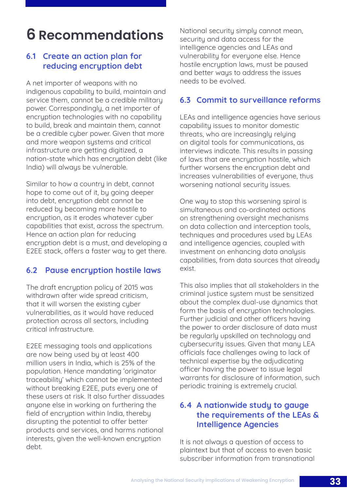## <span id="page-40-0"></span>**6 Recommendations**

## 6.1 Create an action plan for reducing encryption debt

A net importer of weapons with no indigenous capability to build, maintain and service them, cannot be a credible military power. Correspondingly, a net importer of encryption technologies with no capability to build, break and maintain them, cannot be a credible cyber power. Given that more and more weapon systems and critical infrastructure are getting digitized, a nation-state which has encryption debt (like India) will always be vulnerable.

Similar to how a country in debt, cannot hope to come out of it, by going deeper into debt, encryption debt cannot be reduced by becoming more hostile to encruption, as it erodes whatever cuber capabilities that exist, across the spectrum. Hence an action plan for reducing encryption debt is a must, and developing a E2EE stack, offers a faster way to get there.

## 6.2 Pause encryption hostile laws

The draft encryption policy of 2015 was withdrawn after wide spread criticism, that it will worsen the existing cuber vulnerabilities, as it would have reduced protection across all sectors, including critical infrastructure.

E2EE messaging tools and applications are now being used by at least 400 million users in India, which is 25% of the population. Hence mandating 'originator traceability' which cannot be implemented without breaking E2EE, puts every one of these users at risk. It also further dissuades anyone else in working on furthering the field of encryption within India, thereby disrupting the potential to offer better products and services, and harms national interests, given the well-known encryption debt.

National security simply cannot mean, security and data access for the intelligence agencies and LEAs and vulnerability for everyone else. Hence hostile encryption laws, must be paused and better ways to address the issues needs to be evolved.

### 6.3 Commit to surveillance reforms

LEAs and intelligence agencies have serious capability issues to monitor domestic threats, who are increasingly relying on digital tools for communications, as interviews indicate. This results in passing of laws that are encryption hostile, which further worsens the encryption debt and increases vulnerabilities of everyone, thus worsening national security issues.

One way to stop this worsening spiral is simultaneous and co-ordinated actions on strengthening oversight mechanisms on data collection and interception tools, techniques and procedures used by LEAs and intelligence agencies, coupled with investment on enhancing data analysis capabilities, from data sources that already exist.

This also implies that all stakeholders in the criminal justice sustem must be sensitized about the complex dual-use dynamics that form the basis of encryption technologies. Further judicial and other officers having the power to order disclosure of data must be regularly upskilled on technology and cybersecurity issues. Given that many LEA officials face challenges owing to lack of technical expertise by the adjudicating officer having the power to issue legal warrants for disclosure of information, such periodic training is extremely crucial.

## 6.4 A nationwide study to gauge the requirements of the LEAs & Intelligence Agencies

It is not always a question of access to plaintext but that of access to even basic subscriber information from transnational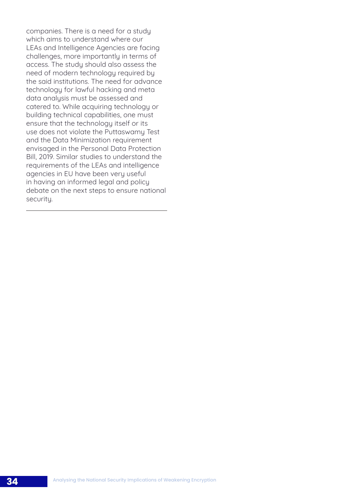companies. There is a need for a study which aims to understand where our LEAs and Intelligence Agencies are facing challenges, more importantly in terms of access. The study should also assess the need of modern technology required by the said institutions. The need for advance technology for lawful hacking and meta data analysis must be assessed and catered to. While acquiring technology or building technical capabilities, one must ensure that the technology itself or its use does not violate the Puttaswamy Test and the Data Minimization requirement envisaged in the Personal Data Protection Bill, 2019. Similar studies to understand the requirements of the LEAs and intelligence agencies in EU have been very useful in having an informed legal and policy debate on the next steps to ensure national security.